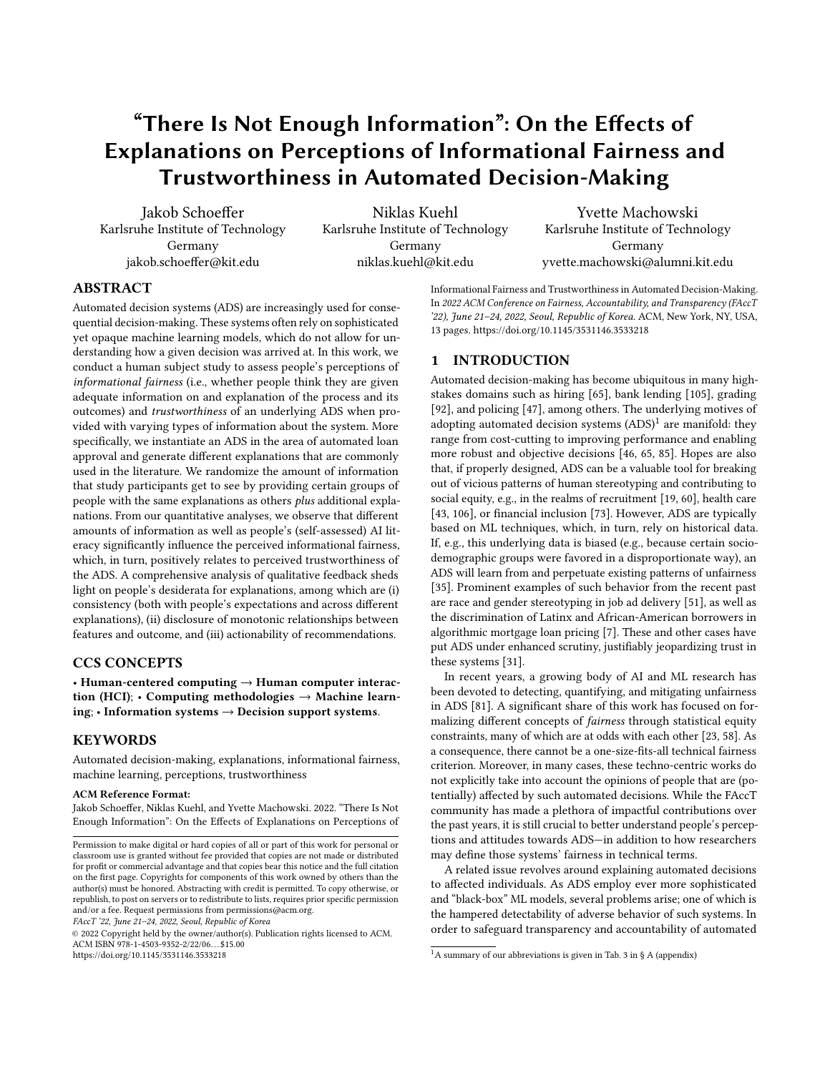# "There Is Not Enough Information": On the Effects of Explanations on Perceptions of Informational Fairness and Trustworthiness in Automated Decision-Making

[Jakob Schoeffer](https://orcid.org/0000-0003-3705-7126) Karlsruhe Institute of Technology Germany jakob.schoeffer@kit.edu

[Niklas Kuehl](https://orcid.org/0000-0001-6750-0876) Karlsruhe Institute of Technology Germany niklas.kuehl@kit.edu

[Yvette Machowski](https://orcid.org/0000-0002-9271-6342) Karlsruhe Institute of Technology Germany yvette.machowski@alumni.kit.edu

## ABSTRACT

Automated decision systems (ADS) are increasingly used for consequential decision-making. These systems often rely on sophisticated yet opaque machine learning models, which do not allow for understanding how a given decision was arrived at. In this work, we conduct a human subject study to assess people's perceptions of informational fairness (i.e., whether people think they are given adequate information on and explanation of the process and its outcomes) and trustworthiness of an underlying ADS when provided with varying types of information about the system. More specifically, we instantiate an ADS in the area of automated loan approval and generate different explanations that are commonly used in the literature. We randomize the amount of information that study participants get to see by providing certain groups of people with the same explanations as others plus additional explanations. From our quantitative analyses, we observe that different amounts of information as well as people's (self-assessed) AI literacy significantly influence the perceived informational fairness, which, in turn, positively relates to perceived trustworthiness of the ADS. A comprehensive analysis of qualitative feedback sheds light on people's desiderata for explanations, among which are (i) consistency (both with people's expectations and across different explanations), (ii) disclosure of monotonic relationships between features and outcome, and (iii) actionability of recommendations.

### CCS CONCEPTS

• Human-centered computing  $\rightarrow$  Human computer interaction (HCI); • Computing methodologies  $\rightarrow$  Machine learning; • Information systems  $\rightarrow$  Decision support systems.

### **KEYWORDS**

Automated decision-making, explanations, informational fairness, machine learning, perceptions, trustworthiness

#### ACM Reference Format:

Jakob Schoeffer, Niklas Kuehl, and Yvette Machowski. 2022. "There Is Not Enough Information": On the Effects of Explanations on Perceptions of

FAccT '22, June 21–24, 2022, Seoul, Republic of Korea

© 2022 Copyright held by the owner/author(s). Publication rights licensed to ACM. ACM ISBN 978-1-4503-9352-2/22/06. . . \$15.00 <https://doi.org/10.1145/3531146.3533218>

Informational Fairness and Trustworthiness in Automated Decision-Making. In 2022 ACM Conference on Fairness, Accountability, and Transparency (FAccT '22), June 21–24, 2022, Seoul, Republic of Korea. ACM, New York, NY, USA, [13](#page-12-0) pages.<https://doi.org/10.1145/3531146.3533218>

### 1 INTRODUCTION

Automated decision-making has become ubiquitous in many highstakes domains such as hiring [\[65\]](#page-11-0), bank lending [\[105\]](#page-12-1), grading [\[92\]](#page-11-1), and policing [\[47\]](#page-10-0), among others. The underlying motives of adopting automated decision systems  $(ADS)^1$  $(ADS)^1$  are manifold: they range from cost-cutting to improving performance and enabling more robust and objective decisions [\[46,](#page-10-1) [65,](#page-11-0) [85\]](#page-11-2). Hopes are also that, if properly designed, ADS can be a valuable tool for breaking out of vicious patterns of human stereotyping and contributing to social equity, e.g., in the realms of recruitment [\[19,](#page-10-2) [60\]](#page-11-3), health care [\[43,](#page-10-3) [106\]](#page-12-2), or financial inclusion [\[73\]](#page-11-4). However, ADS are typically based on ML techniques, which, in turn, rely on historical data. If, e.g., this underlying data is biased (e.g., because certain sociodemographic groups were favored in a disproportionate way), an ADS will learn from and perpetuate existing patterns of unfairness [\[35\]](#page-10-4). Prominent examples of such behavior from the recent past are race and gender stereotyping in job ad delivery [\[51\]](#page-11-5), as well as the discrimination of Latinx and African-American borrowers in algorithmic mortgage loan pricing [\[7\]](#page-10-5). These and other cases have put ADS under enhanced scrutiny, justifiably jeopardizing trust in these systems [\[31\]](#page-10-6).

In recent years, a growing body of AI and ML research has been devoted to detecting, quantifying, and mitigating unfairness in ADS [\[81\]](#page-11-6). A significant share of this work has focused on formalizing different concepts of fairness through statistical equity constraints, many of which are at odds with each other [\[23,](#page-10-7) [58\]](#page-11-7). As a consequence, there cannot be a one-size-fits-all technical fairness criterion. Moreover, in many cases, these techno-centric works do not explicitly take into account the opinions of people that are (potentially) affected by such automated decisions. While the FAccT community has made a plethora of impactful contributions over the past years, it is still crucial to better understand people's perceptions and attitudes towards ADS—in addition to how researchers may define those systems' fairness in technical terms.

A related issue revolves around explaining automated decisions to affected individuals. As ADS employ ever more sophisticated and "black-box" ML models, several problems arise; one of which is the hampered detectability of adverse behavior of such systems. In order to safeguard transparency and accountability of automated

Permission to make digital or hard copies of all or part of this work for personal or classroom use is granted without fee provided that copies are not made or distributed for profit or commercial advantage and that copies bear this notice and the full citation on the first page. Copyrights for components of this work owned by others than the author(s) must be honored. Abstracting with credit is permitted. To copy otherwise, or republish, to post on servers or to redistribute to lists, requires prior specific permission and/or a fee. Request permissions from permissions@acm.org.

<span id="page-0-0"></span><sup>&</sup>lt;sup>1</sup>A summary of our abbreviations is given in Tab. 3 in § A (appendix)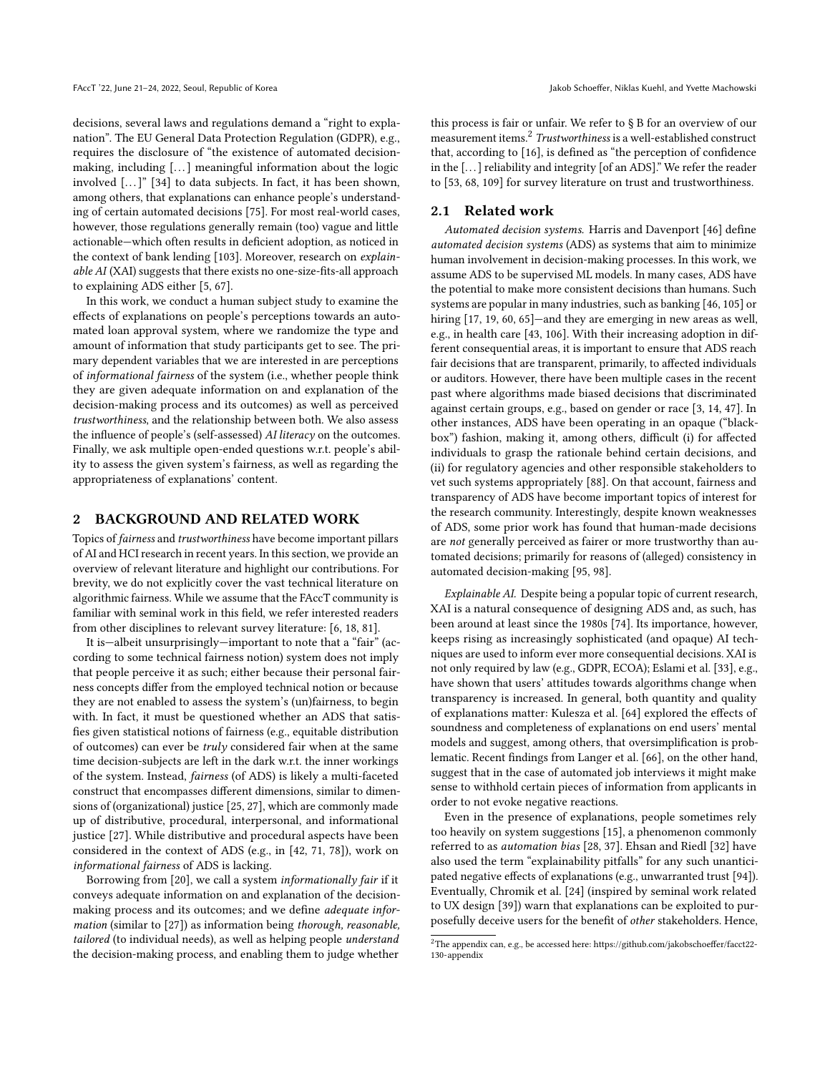decisions, several laws and regulations demand a "right to explanation". The EU General Data Protection Regulation (GDPR), e.g., requires the disclosure of "the existence of automated decisionmaking, including [...] meaningful information about the logic involved [...]" [\[34\]](#page-10-8) to data subjects. In fact, it has been shown, among others, that explanations can enhance people's understanding of certain automated decisions [\[75\]](#page-11-8). For most real-world cases, however, those regulations generally remain (too) vague and little actionable—which often results in deficient adoption, as noticed in the context of bank lending [\[103\]](#page-11-9). Moreover, research on explainable AI (XAI) suggests that there exists no one-size-fits-all approach to explaining ADS either [\[5,](#page-10-9) [67\]](#page-11-10).

In this work, we conduct a human subject study to examine the effects of explanations on people's perceptions towards an automated loan approval system, where we randomize the type and amount of information that study participants get to see. The primary dependent variables that we are interested in are perceptions of informational fairness of the system (i.e., whether people think they are given adequate information on and explanation of the decision-making process and its outcomes) as well as perceived trustworthiness, and the relationship between both. We also assess the influence of people's (self-assessed) AI literacy on the outcomes. Finally, we ask multiple open-ended questions w.r.t. people's ability to assess the given system's fairness, as well as regarding the appropriateness of explanations' content.

### 2 BACKGROUND AND RELATED WORK

Topics of fairness and trustworthiness have become important pillars of AI and HCI research in recent years. In this section, we provide an overview of relevant literature and highlight our contributions. For brevity, we do not explicitly cover the vast technical literature on algorithmic fairness. While we assume that the FAccT community is familiar with seminal work in this field, we refer interested readers from other disciplines to relevant survey literature: [\[6,](#page-10-10) [18,](#page-10-11) [81\]](#page-11-6).

It is—albeit unsurprisingly—important to note that a "fair" (according to some technical fairness notion) system does not imply that people perceive it as such; either because their personal fairness concepts differ from the employed technical notion or because they are not enabled to assess the system's (un)fairness, to begin with. In fact, it must be questioned whether an ADS that satisfies given statistical notions of fairness (e.g., equitable distribution of outcomes) can ever be truly considered fair when at the same time decision-subjects are left in the dark w.r.t. the inner workings of the system. Instead, fairness (of ADS) is likely a multi-faceted construct that encompasses different dimensions, similar to dimensions of (organizational) justice [\[25,](#page-10-12) [27\]](#page-10-13), which are commonly made up of distributive, procedural, interpersonal, and informational justice [\[27\]](#page-10-13). While distributive and procedural aspects have been considered in the context of ADS (e.g., in [\[42,](#page-10-14) [71,](#page-11-11) [78\]](#page-11-12)), work on informational fairness of ADS is lacking.

Borrowing from [\[20\]](#page-10-15), we call a system informationally fair if it conveys adequate information on and explanation of the decisionmaking process and its outcomes; and we define adequate information (similar to [\[27\]](#page-10-13)) as information being thorough, reasonable, tailored (to individual needs), as well as helping people understand the decision-making process, and enabling them to judge whether

this process is fair or unfair. We refer to § B for an overview of our measurement items.[2](#page-1-0) Trustworthiness is a well-established construct that, according to [\[16\]](#page-10-16), is defined as "the perception of confidence in the [. . . ] reliability and integrity [of an ADS]." We refer the reader to [\[53,](#page-11-13) [68,](#page-11-14) [109\]](#page-12-3) for survey literature on trust and trustworthiness.

### 2.1 Related work

Automated decision systems. Harris and Davenport [\[46\]](#page-10-1) define automated decision systems (ADS) as systems that aim to minimize human involvement in decision-making processes. In this work, we assume ADS to be supervised ML models. In many cases, ADS have the potential to make more consistent decisions than humans. Such systems are popular in many industries, such as banking [\[46,](#page-10-1) [105\]](#page-12-1) or hiring [\[17,](#page-10-17) [19,](#page-10-2) [60,](#page-11-3) [65\]](#page-11-0)—and they are emerging in new areas as well, e.g., in health care [\[43,](#page-10-3) [106\]](#page-12-2). With their increasing adoption in different consequential areas, it is important to ensure that ADS reach fair decisions that are transparent, primarily, to affected individuals or auditors. However, there have been multiple cases in the recent past where algorithms made biased decisions that discriminated against certain groups, e.g., based on gender or race [\[3,](#page-10-18) [14,](#page-10-19) [47\]](#page-10-0). In other instances, ADS have been operating in an opaque ("blackbox") fashion, making it, among others, difficult (i) for affected individuals to grasp the rationale behind certain decisions, and (ii) for regulatory agencies and other responsible stakeholders to vet such systems appropriately [\[88\]](#page-11-15). On that account, fairness and transparency of ADS have become important topics of interest for the research community. Interestingly, despite known weaknesses of ADS, some prior work has found that human-made decisions are not generally perceived as fairer or more trustworthy than automated decisions; primarily for reasons of (alleged) consistency in automated decision-making [\[95,](#page-11-16) [98\]](#page-11-17).

Explainable AI. Despite being a popular topic of current research, XAI is a natural consequence of designing ADS and, as such, has been around at least since the 1980s [\[74\]](#page-11-18). Its importance, however, keeps rising as increasingly sophisticated (and opaque) AI techniques are used to inform ever more consequential decisions. XAI is not only required by law (e.g., GDPR, ECOA); Eslami et al. [\[33\]](#page-10-20), e.g., have shown that users' attitudes towards algorithms change when transparency is increased. In general, both quantity and quality of explanations matter: Kulesza et al. [\[64\]](#page-11-19) explored the effects of soundness and completeness of explanations on end users' mental models and suggest, among others, that oversimplification is problematic. Recent findings from Langer et al. [\[66\]](#page-11-20), on the other hand, suggest that in the case of automated job interviews it might make sense to withhold certain pieces of information from applicants in order to not evoke negative reactions.

Even in the presence of explanations, people sometimes rely too heavily on system suggestions [\[15\]](#page-10-21), a phenomenon commonly referred to as automation bias [\[28,](#page-10-22) [37\]](#page-10-23). Ehsan and Riedl [\[32\]](#page-10-24) have also used the term "explainability pitfalls" for any such unanticipated negative effects of explanations (e.g., unwarranted trust [\[94\]](#page-11-21)). Eventually, Chromik et al. [\[24\]](#page-10-25) (inspired by seminal work related to UX design [\[39\]](#page-10-26)) warn that explanations can be exploited to purposefully deceive users for the benefit of other stakeholders. Hence,

<span id="page-1-0"></span> $^2\!$  The appendix can, e.g., be accessed here: [https://github.com/jakobschoeffer/facct22-](https://github.com/jakobschoeffer/facct22-130-appendix) [130-appendix](https://github.com/jakobschoeffer/facct22-130-appendix)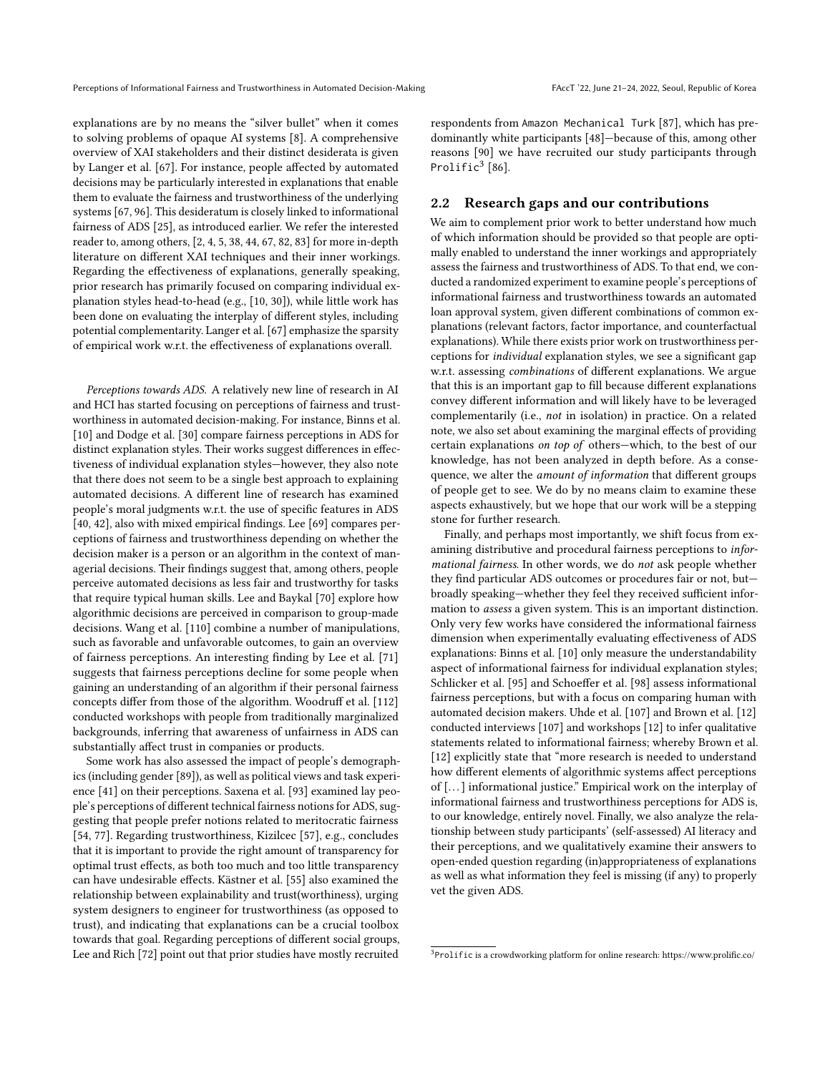explanations are by no means the "silver bullet" when it comes to solving problems of opaque AI systems [\[8\]](#page-10-27). A comprehensive overview of XAI stakeholders and their distinct desiderata is given by Langer et al. [\[67\]](#page-11-10). For instance, people affected by automated decisions may be particularly interested in explanations that enable them to evaluate the fairness and trustworthiness of the underlying systems [\[67,](#page-11-10) [96\]](#page-11-22). This desideratum is closely linked to informational fairness of ADS [\[25\]](#page-10-12), as introduced earlier. We refer the interested reader to, among others, [\[2,](#page-10-28) [4,](#page-10-29) [5,](#page-10-9) [38,](#page-10-30) [44,](#page-10-31) [67,](#page-11-10) [82,](#page-11-23) [83\]](#page-11-24) for more in-depth literature on different XAI techniques and their inner workings. Regarding the effectiveness of explanations, generally speaking, prior research has primarily focused on comparing individual explanation styles head-to-head (e.g., [\[10,](#page-10-32) [30\]](#page-10-33)), while little work has been done on evaluating the interplay of different styles, including potential complementarity. Langer et al. [\[67\]](#page-11-10) emphasize the sparsity of empirical work w.r.t. the effectiveness of explanations overall.

Perceptions towards ADS. A relatively new line of research in AI and HCI has started focusing on perceptions of fairness and trustworthiness in automated decision-making. For instance, Binns et al. [\[10\]](#page-10-32) and Dodge et al. [\[30\]](#page-10-33) compare fairness perceptions in ADS for distinct explanation styles. Their works suggest differences in effectiveness of individual explanation styles—however, they also note that there does not seem to be a single best approach to explaining automated decisions. A different line of research has examined people's moral judgments w.r.t. the use of specific features in ADS [\[40,](#page-10-34) [42\]](#page-10-14), also with mixed empirical findings. Lee [\[69\]](#page-11-25) compares perceptions of fairness and trustworthiness depending on whether the decision maker is a person or an algorithm in the context of managerial decisions. Their findings suggest that, among others, people perceive automated decisions as less fair and trustworthy for tasks that require typical human skills. Lee and Baykal [\[70\]](#page-11-26) explore how algorithmic decisions are perceived in comparison to group-made decisions. Wang et al. [\[110\]](#page-12-4) combine a number of manipulations, such as favorable and unfavorable outcomes, to gain an overview of fairness perceptions. An interesting finding by Lee et al. [\[71\]](#page-11-11) suggests that fairness perceptions decline for some people when gaining an understanding of an algorithm if their personal fairness concepts differ from those of the algorithm. Woodruff et al. [\[112\]](#page-12-5) conducted workshops with people from traditionally marginalized backgrounds, inferring that awareness of unfairness in ADS can substantially affect trust in companies or products.

Some work has also assessed the impact of people's demographics (including gender [\[89\]](#page-11-27)), as well as political views and task experience [\[41\]](#page-10-35) on their perceptions. Saxena et al. [\[93\]](#page-11-28) examined lay people's perceptions of different technical fairness notions for ADS, suggesting that people prefer notions related to meritocratic fairness [\[54,](#page-11-29) [77\]](#page-11-30). Regarding trustworthiness, Kizilcec [\[57\]](#page-11-31), e.g., concludes that it is important to provide the right amount of transparency for optimal trust effects, as both too much and too little transparency can have undesirable effects. Kästner et al. [\[55\]](#page-11-32) also examined the relationship between explainability and trust(worthiness), urging system designers to engineer for trustworthiness (as opposed to trust), and indicating that explanations can be a crucial toolbox towards that goal. Regarding perceptions of different social groups, Lee and Rich [\[72\]](#page-11-33) point out that prior studies have mostly recruited

respondents from Amazon Mechanical Turk [\[87\]](#page-11-34), which has predominantly white participants [\[48\]](#page-10-36)—because of this, among other reasons [\[90\]](#page-11-35) we have recruited our study participants through Prolific $3$  [\[86\]](#page-11-36).

### 2.2 Research gaps and our contributions

We aim to complement prior work to better understand how much of which information should be provided so that people are optimally enabled to understand the inner workings and appropriately assess the fairness and trustworthiness of ADS. To that end, we conducted a randomized experiment to examine people's perceptions of informational fairness and trustworthiness towards an automated loan approval system, given different combinations of common explanations (relevant factors, factor importance, and counterfactual explanations). While there exists prior work on trustworthiness perceptions for individual explanation styles, we see a significant gap w.r.t. assessing combinations of different explanations. We argue that this is an important gap to fill because different explanations convey different information and will likely have to be leveraged complementarily (i.e., not in isolation) in practice. On a related note, we also set about examining the marginal effects of providing certain explanations on top of others—which, to the best of our knowledge, has not been analyzed in depth before. As a consequence, we alter the amount of information that different groups of people get to see. We do by no means claim to examine these aspects exhaustively, but we hope that our work will be a stepping stone for further research.

Finally, and perhaps most importantly, we shift focus from examining distributive and procedural fairness perceptions to informational fairness. In other words, we do not ask people whether they find particular ADS outcomes or procedures fair or not, but broadly speaking—whether they feel they received sufficient information to assess a given system. This is an important distinction. Only very few works have considered the informational fairness dimension when experimentally evaluating effectiveness of ADS explanations: Binns et al. [\[10\]](#page-10-32) only measure the understandability aspect of informational fairness for individual explanation styles; Schlicker et al. [\[95\]](#page-11-16) and Schoeffer et al. [\[98\]](#page-11-17) assess informational fairness perceptions, but with a focus on comparing human with automated decision makers. Uhde et al. [\[107\]](#page-12-6) and Brown et al. [\[12\]](#page-10-37) conducted interviews [\[107\]](#page-12-6) and workshops [\[12\]](#page-10-37) to infer qualitative statements related to informational fairness; whereby Brown et al. [\[12\]](#page-10-37) explicitly state that "more research is needed to understand how different elements of algorithmic systems affect perceptions of [. . . ] informational justice." Empirical work on the interplay of informational fairness and trustworthiness perceptions for ADS is, to our knowledge, entirely novel. Finally, we also analyze the relationship between study participants' (self-assessed) AI literacy and their perceptions, and we qualitatively examine their answers to open-ended question regarding (in)appropriateness of explanations as well as what information they feel is missing (if any) to properly vet the given ADS.

<span id="page-2-0"></span><sup>3</sup> Prolific is a crowdworking platform for online research:<https://www.prolific.co/>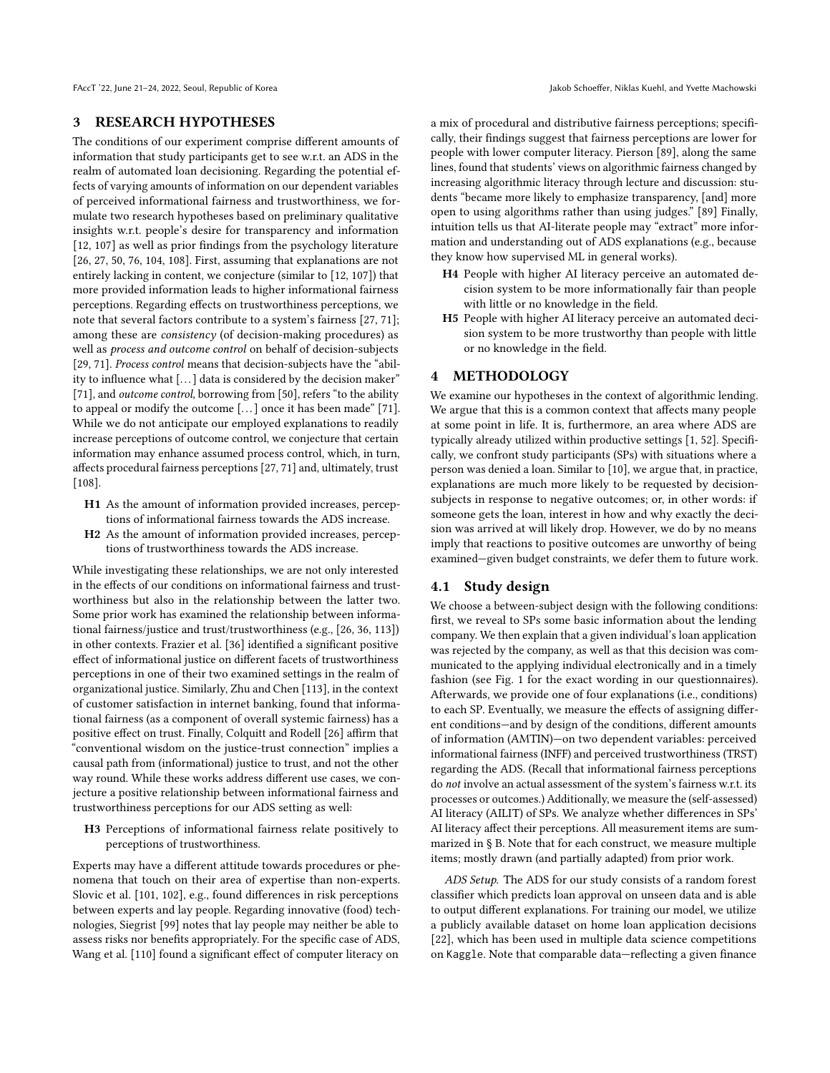FAccT '22, June 21-24, 2022, Seoul, Republic of Korea Jakob Schoeffer, Niklas Kuehl, and Yvette Machowski

### 3 RESEARCH HYPOTHESES

The conditions of our experiment comprise different amounts of information that study participants get to see w.r.t. an ADS in the realm of automated loan decisioning. Regarding the potential effects of varying amounts of information on our dependent variables of perceived informational fairness and trustworthiness, we formulate two research hypotheses based on preliminary qualitative insights w.r.t. people's desire for transparency and information [\[12,](#page-10-37) [107\]](#page-12-6) as well as prior findings from the psychology literature [\[26,](#page-10-38) [27,](#page-10-13) [50,](#page-10-39) [76,](#page-11-37) [104,](#page-12-7) [108\]](#page-12-8). First, assuming that explanations are not entirely lacking in content, we conjecture (similar to [\[12,](#page-10-37) [107\]](#page-12-6)) that more provided information leads to higher informational fairness perceptions. Regarding effects on trustworthiness perceptions, we note that several factors contribute to a system's fairness [\[27,](#page-10-13) [71\]](#page-11-11); among these are consistency (of decision-making procedures) as well as process and outcome control on behalf of decision-subjects [\[29,](#page-10-40) [71\]](#page-11-11). Process control means that decision-subjects have the "ability to influence what [...] data is considered by the decision maker" [\[71\]](#page-11-11), and *outcome control*, borrowing from [\[50\]](#page-10-39), refers "to the ability to appeal or modify the outcome [...] once it has been made" [\[71\]](#page-11-11). While we do not anticipate our employed explanations to readily increase perceptions of outcome control, we conjecture that certain information may enhance assumed process control, which, in turn, affects procedural fairness perceptions [\[27,](#page-10-13) [71\]](#page-11-11) and, ultimately, trust [\[108\]](#page-12-8).

- H1 As the amount of information provided increases, perceptions of informational fairness towards the ADS increase.
- H2 As the amount of information provided increases, perceptions of trustworthiness towards the ADS increase.

While investigating these relationships, we are not only interested in the effects of our conditions on informational fairness and trustworthiness but also in the relationship between the latter two. Some prior work has examined the relationship between informational fairness/justice and trust/trustworthiness (e.g., [\[26,](#page-10-38) [36,](#page-10-41) [113\]](#page-12-9)) in other contexts. Frazier et al. [\[36\]](#page-10-41) identified a significant positive effect of informational justice on different facets of trustworthiness perceptions in one of their two examined settings in the realm of organizational justice. Similarly, Zhu and Chen [\[113\]](#page-12-9), in the context of customer satisfaction in internet banking, found that informational fairness (as a component of overall systemic fairness) has a positive effect on trust. Finally, Colquitt and Rodell [\[26\]](#page-10-38) affirm that "conventional wisdom on the justice-trust connection" implies a causal path from (informational) justice to trust, and not the other way round. While these works address different use cases, we conjecture a positive relationship between informational fairness and trustworthiness perceptions for our ADS setting as well:

H3 Perceptions of informational fairness relate positively to perceptions of trustworthiness.

Experts may have a different attitude towards procedures or phenomena that touch on their area of expertise than non-experts. Slovic et al. [\[101,](#page-11-38) [102\]](#page-11-39), e.g., found differences in risk perceptions between experts and lay people. Regarding innovative (food) technologies, Siegrist [\[99\]](#page-11-40) notes that lay people may neither be able to assess risks nor benefits appropriately. For the specific case of ADS, Wang et al. [\[110\]](#page-12-4) found a significant effect of computer literacy on

a mix of procedural and distributive fairness perceptions; specifically, their findings suggest that fairness perceptions are lower for people with lower computer literacy. Pierson [\[89\]](#page-11-27), along the same lines, found that students' views on algorithmic fairness changed by increasing algorithmic literacy through lecture and discussion: students "became more likely to emphasize transparency, [and] more open to using algorithms rather than using judges." [\[89\]](#page-11-27) Finally, intuition tells us that AI-literate people may "extract" more information and understanding out of ADS explanations (e.g., because they know how supervised ML in general works).

- H4 People with higher AI literacy perceive an automated decision system to be more informationally fair than people with little or no knowledge in the field.
- H5 People with higher AI literacy perceive an automated decision system to be more trustworthy than people with little or no knowledge in the field.

### 4 METHODOLOGY

We examine our hypotheses in the context of algorithmic lending. We argue that this is a common context that affects many people at some point in life. It is, furthermore, an area where ADS are typically already utilized within productive settings [\[1,](#page-10-42) [52\]](#page-11-41). Specifically, we confront study participants (SPs) with situations where a person was denied a loan. Similar to [\[10\]](#page-10-32), we argue that, in practice, explanations are much more likely to be requested by decisionsubjects in response to negative outcomes; or, in other words: if someone gets the loan, interest in how and why exactly the decision was arrived at will likely drop. However, we do by no means imply that reactions to positive outcomes are unworthy of being examined—given budget constraints, we defer them to future work.

### <span id="page-3-0"></span>4.1 Study design

We choose a between-subject design with the following conditions: first, we reveal to SPs some basic information about the lending company. We then explain that a given individual's loan application was rejected by the company, as well as that this decision was communicated to the applying individual electronically and in a timely fashion (see Fig. [1](#page-4-0) for the exact wording in our questionnaires). Afterwards, we provide one of four explanations (i.e., conditions) to each SP. Eventually, we measure the effects of assigning different conditions—and by design of the conditions, different amounts of information (AMTIN)—on two dependent variables: perceived informational fairness (INFF) and perceived trustworthiness (TRST) regarding the ADS. (Recall that informational fairness perceptions do not involve an actual assessment of the system's fairness w.r.t. its processes or outcomes.) Additionally, we measure the (self-assessed) AI literacy (AILIT) of SPs. We analyze whether differences in SPs' AI literacy affect their perceptions. All measurement items are summarized in § B. Note that for each construct, we measure multiple items; mostly drawn (and partially adapted) from prior work.

ADS Setup. The ADS for our study consists of a random forest classifier which predicts loan approval on unseen data and is able to output different explanations. For training our model, we utilize a publicly available dataset on home loan application decisions [\[22\]](#page-10-43), which has been used in multiple data science competitions on Kaggle. Note that comparable data—reflecting a given finance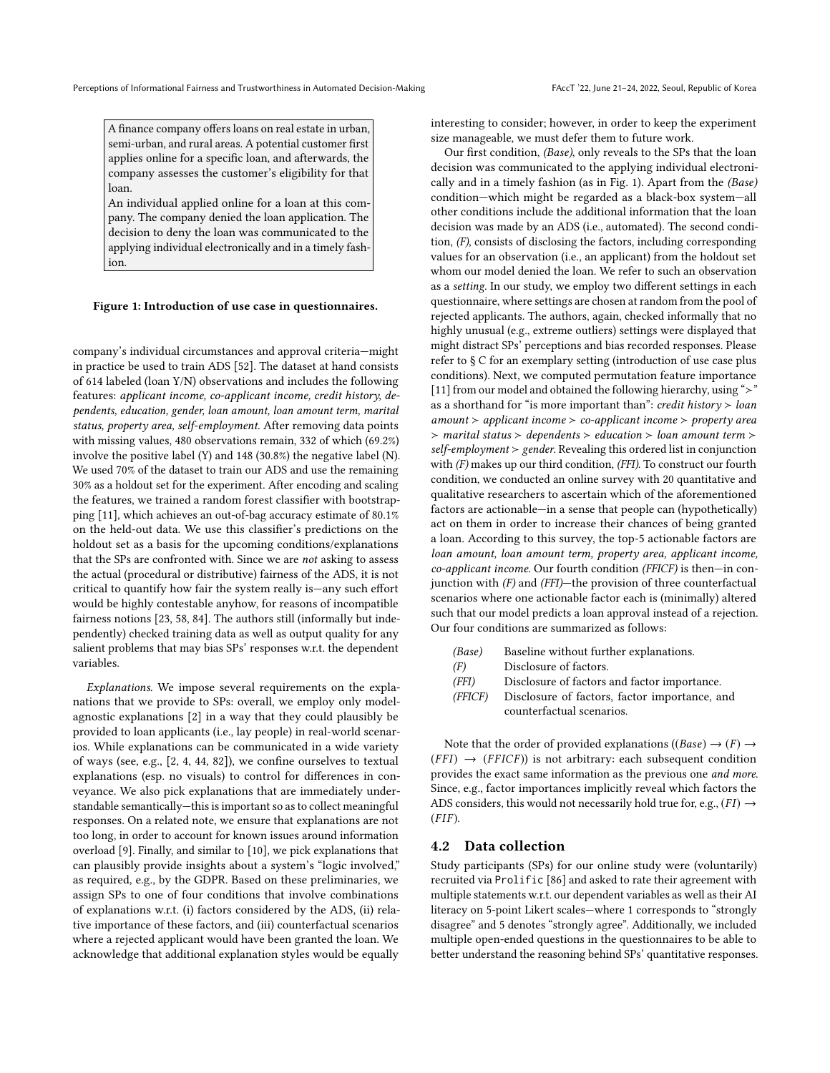<span id="page-4-0"></span>A finance company offers loans on real estate in urban, semi-urban, and rural areas. A potential customer first applies online for a specific loan, and afterwards, the company assesses the customer's eligibility for that loan.

An individual applied online for a loan at this company. The company denied the loan application. The decision to deny the loan was communicated to the applying individual electronically and in a timely fashion.

### Figure 1: Introduction of use case in questionnaires.

company's individual circumstances and approval criteria—might in practice be used to train ADS [52]. The dataset at hand consists in practice be used to train ADS [\[52\]](#page-11-41). The dataset at hand consists of 614 labeled (loan Y/N) observations and includes the following features: applicant income, co-applicant income, credit history, de-features: applicant income, co-applicant income, credit history, dependents, education, gender, loan amount, loan amount term, marital pendents, education, gender, loan amount, loan amount term, marital status, property area, self-employment. After removing data points status, property area, self-employment. After removing data points with missing values, 480 observations remain, 332 of which (69.2%) with missing values, 480 observations remain, 332 of which (69.2%) involve the positive label (Y) and 148 (30.8%) the negative label (N). involve the positive label (Y) and 148 (30.8%) the negative label (N). We used 70% of the dataset to train our ADS and use the remaining We used 70% of the dataset to train our ADS and use the remaining 30% as a holdout set for the experiment. After encoding and scaling 30% as a holdout set for the experiment. After encoding and scaling the features, we trained a random forest classifier with bootstrap-the features, we trained a random forest classifier with bootstrapping [11], which achieves an out-of-bag accuracy estimate of 80.1% ping [\[11\]](#page-10-44), which achieves an out-of-bag accuracy estimate of 80.1% on the held-out data. We use this classifier's predictions on the holdout set as a basis for the upcoming conditions/explanations holdout set as a basis for the upcoming conditions/explanations that the SPs are confronted with. Since we are not asking to assess the actual (procedural or distributive) fairness of the ADS, it is not the actual (procedural or distributive) fairness of the ADS, it is not critical to quantify how fair the system really is—any such effort critical to quantify how fair the system really is—any such effort would be highly contestable anyhow, for reasons of incompatible would be highly contestable anyhow, for reasons of incompatible fairness notions [23, 58, 84]. The authors still (informally but inde-fairness notions [\[23,](#page-10-7) [58,](#page-11-7) [84\]](#page-11-42). The authors still (informally but independently) checked training data as well as output quality for any pendently) checked training data as well as output quality for any salient problems that may bias SPs' responses w.r.t. the dependent salient problems that may bias SPs' responses w.r.t. the dependent variables. variables.

Explanations. We impose several requirements on the explanations that we provide to SPs: overall, we employ only modelagnostic explanations [2] in a way that they could plausibly be agnostic explanations [\[2\]](#page-10-28) in a way that they could plausibly be provided to loan applicants (i.e., lay people) in real-world scenar-provided to loan applicants (i.e., lay people) in real-world scenarios. While explanations can be communicated in a wide variety ios. While explanations can be communicated in a wide variety of ways (see, e.g.,  $[2, 4, 44, 82]$  $[2, 4, 44, 82]$  $[2, 4, 44, 82]$  $[2, 4, 44, 82]$  $[2, 4, 44, 82]$  $[2, 4, 44, 82]$  $[2, 4, 44, 82]$ ), we confine ourselves to textual explanations (esp. no visuals) to control for differences in con-explanations (esp. no visuals) to control for differences in conveyance. We also pick explanations that are immediately under-veyance. We also pick explanations that are immediately understandable semantically—this is important so as to collect meaningful standable semantically—this is important so as to collect meaningful responses. On a related note, we ensure that explanations are not responses. On a related note, we ensure that explanations are not too long, in order to account for known issues around information too long, in order to account for known issues around information overload [9]. Finally, and similar to [10], we pick explanations that overload [\[9\]](#page-10-45). Finally, and similar to [\[10\]](#page-10-32), we pick explanations that can plausibly provide insights about a system's "logic involved," as required, e.g., by the GDPR. Based on these preliminaries, we as required, e.g., by the GDPR. Based on these preliminaries, we assign SPs to one of four conditions that involve combinations assign SPs to one of four conditions that involve combinations of explanations w.r.t. (i) factors considered by the ADS, (ii) rela-of explanations w.r.t. (i) factors considered by the ADS, (ii) relative importance of these factors, and (iii) counterfactual scenarios tive importance of these factors, and (iii) counterfactual scenarios where a rejected applicant would have been granted the loan. We where a rejected applicant would have been granted the loan. We acknowledge that additional explanation styles would be equally acknowledge that additional explanation styles would be equally

interesting to consider; however, in order to keep the experiment size manageable, we must defer them to future work. size manageable, we must defer them to future work.

Our first condition, (Base), only reveals to the SPs that the loan Our first condition, (Base), only reveals to the SPs that the loan decision was communicated to the applying individual electroni-decision was communicated to the applying individual electronically and in a timely fashion (as in Fig. 1). Apart from the  $(\textit{base})$ condition—which might be regarded as a black-box system—all condition—which might be regarded as a black-box system—all other conditions include the additional information that the loan other conditions include the additional information that the loan decision was made by an ADS (i.e., automated). The second condi-decision was made by an ADS (i.e., automated). The second condi $t_1(t)$ , consists of disclosing the factors, including corresponding values for an observation (i.e., an applicant) from the holdout set whom our model denied the loan. We refer to such an observation as a *setting*. In our study, we employ two different settings in each setting. questionnaire, where settings are chosen at random from the pool of questionnaire, where settings are chosen at random from the pool of rejected applicants. The authors, again, checked informally that no rejected applicants. The authors, again, checked informally that no highly unusual (e.g., extreme outliers) settings were displayed that highly unusual (e.g., extreme outliers) settings were displayed that might distract SPs' perceptions and bias recorded responses. Please might distract SPs' perceptions and bias recorded responses. Please refer to  $\S \mathbb{C}$  for an exemplary setting (introduction of use case plus conditions). Next, we computed permutation feature importance conditions). Next, we computed permutation feature importance [11] from our model and obtained the following hierarchy, using "≻" as a shorthand for "is more important than": credit history ≻ loan as a shorthand for "is more important than": credit history ≻ loan amount ≻ applicant income ≻ co-applicant income ≻ property area amount ≻ applicant income ≻ co-applicant income ≻ property area ≻ marital status ≻ dependents ≻ education ≻ loan amount term ≻ ≻ marital status ≻ dependents ≻ education ≻ loan amount term ≻ self-employment ≻ gender. Revealing this ordered list in conjunction self-employment ≻ gender. Revealing this ordered list in conjunction with (F) makes up our third condition, (FFI). To construct our fourth with  $(F)$  makes up our third condition,  $(FT)$ . To construct our fourth condition, we conducted an online survey with 20 quantitative and qualitative researchers to ascertain which of the aforementioned qualitative researchers to ascertain which of the aforementioned factors are actionable—in a sense that people can (hypothetically) factors are actionable—in a sense that people can (hypothetically) act on them in order to increase their chances of being granted act on them in order to increase their chances of being granted a loan. According to this survey, the top-5 actionable factors are a loan. According to this survey, the top-5 actionable factors are loan amount, loan amount term, property area, applicant income, co-applicant income. Our fourth condition (FFICF) is then—in conco-applicant income. Our fourth condition (FFICF) is then—in con-junction with (F) and (FFI)—the provision of three counterfactual unction with  $(r)$  and  $(rrI)$ —the provision of three counterfactual scenarios where one actionable factor each is (minimally) altered scenarios where one actionable factor each is (minimally) altered such that our model predicts a loan approval instead of a rejection. Our four conditions are summarized as follows: Our four conditions are summarized as follows: cally and in a timely fashion (as in Fig. [1\)](#page-4-0). Apart from the (Base) tion, (F), consists of disclosing the factors, including corresponding [\[11\]](#page-10-44) from our model and obtained the following hierarchy, using "≻" loan amount, loan amount term, property area, applicant income,

| (Base)  | Baseline without further explanations.                                     |
|---------|----------------------------------------------------------------------------|
| (F)     | Disclosure of factors.                                                     |
| (FFI)   | Disclosure of factors and factor importance.                               |
| (FFICF) | Disclosure of factors, factor importance, and<br>counterfactual scenarios. |
|         |                                                                            |

Note that the order of provided explanations ((*Base*)  $\rightarrow$  (*F*)  $\rightarrow$  (*FFI*)  $\rightarrow$  (*FFICF*)) is not arbitrary: each subsequent condition  $(ff) \rightarrow (ffICF)$  is not arbitrary: each subsequent condition provides the exact same information as the previous one *and more*. provides the exact same information as the previous one *and more*. Since, e.g., factor importances implicitly reveal which factors the Since, e.g., factor importances implicitly reveal which factors the ADS considers, this would not necessarily hold true for, e.g.,  $(FI) \rightarrow (FIF)$  $(FIF).$ Note that the order of provided explanations ((Base)  $\rightarrow$  (F)  $\rightarrow$ 

## 4.2 Data collection 4.2 Data collection

Study participants (SPs) for our online study were (voluntarily) Study participants (SPs) for our online study were (voluntarily) recruited via Prolific [86] and asked to rate their agreement with recruited via Prolific [\[86\]](#page-11-36) and asked to rate their agreement with multiple statements w.r.t. our dependent variables as well as their AI literacy on 5-point Likert scales—where 1 corresponds to "strongly literacy on 5-point Likert scales—where 1 corresponds to "strongly disagree" and 5 denotes "strongly agree". Additionally, we included disagree" and 5 denotes "strongly agree". Additionally, we included multiple open-ended questions in the questionnaires to be able to multiple open-ended questions in the questionnaires to be able to better understand the reasoning behind SPs' quantitative responses. better understand the reasoning behind SPs' quantitative responses.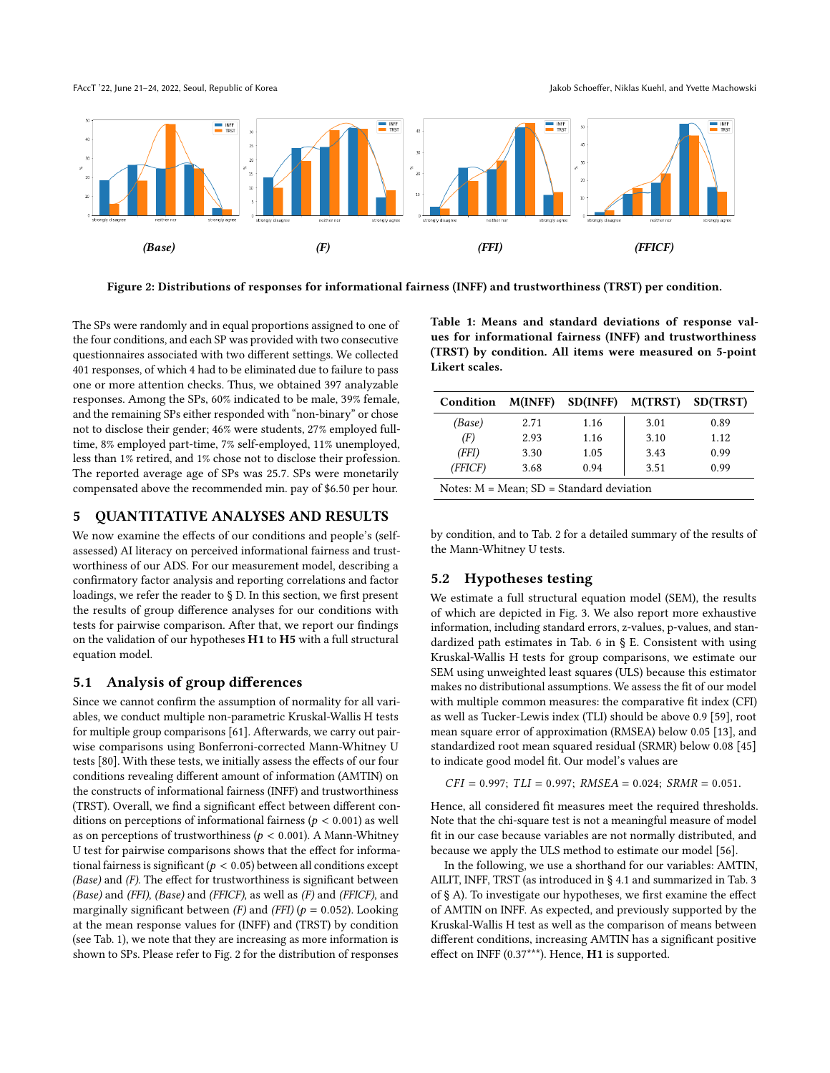FAccT '22, June 21–24, 2022, Seoul, Republic of Korea Jakob Schoeffer, Niklas Kuehl, and Yvette Machowski FAccT '22, June 21–24, 2022, Seoul, Republic of Korea Jakob Schoeffer, Niklas Kuehl, and Yvette Machowski

<span id="page-5-1"></span>

Figure 2: Distributions of responses for informational fairness (INFF) and trustworthiness (TRST) per condition.

 $T$ s  $\frac{1}{2}$  and in equal proportions assigned to one of  $\frac{1}{2}$  proportions assigned to one of  $\frac{1}{2}$ The SPs were randomly and in equal proportions assigned to one of the four conditions, and each SP was provided with two consecutive<br>intervals with two consecutive questionnaires associated with two different settings. We collected 401 responses, of which 4 had to be eliminated due to failure to pass one or more attention checks. Thus, we obtained 397 analyzable responses. Among the SPs, 60% indicated to be male, 39% female, and the remaining SPs either responded with "non-binary" or chose not to disclose their gender; 46% were students, 27% employed fulltime, 8% employed part-time, 7% self-employed, 11% unemployed, less than 1% retired, and 1% chose not to disclose their profession. The reported average age of SPs was 25.7. SPs were monetarily compensated above the recommended min. pay of \$6.50 per hour.

## <span id="page-5-3"></span>5 QUANTITATIVE ANALYSES AND RESULTS 5 QUANTITATIVE ANALYSES AND RESULTS

We now examine the effects of our conditions and people's (self-We now examine the effects of our conditions and people's (selfassessed) AI literacy on perceived informational fairness and trust-assessed) AI literacy on perceived informational fairness and trustworthiness of our ADS. For our measurement model, describing a worthiness of our ADS. For our measurement model, describing a confirmatory factor analysis and reporting correlations and factor confirmatory factor analysis and reporting correlations and factor loadings, we refer the reader to § D. In this section, we first present loadings, we refer the reader to § D. In this section, we first present the results of group difference analyses for our conditions with the results of group difference analyses for our conditions with tests for pairwise comparison. After that, we report our findings tests for pairwise comparison. After that, we report our findings on the validation of our hypotheses H1 to H5 with a full structural on the validation of our hypotheses H1 to H5 with a full structural equation model. equation model.

## <span id="page-5-2"></span>5.1 Analysis of group differences 5.1 Analysis of group differences

Since we cannot confirm the assumption of normality for all vari-Since we cannot confirm the assumption of normality for all variables, we conduct multiple non-parametric Kruskal-Wallis H tests ables, we conduct multiple non-parametric Kruskal-Wallis H tests for multiple group comparisons [61]. Afterwards, we carry out pair-for multiple group comparisons [\[61\]](#page-11-43). Afterwards, we carry out pairwise comparisons using Bonferroni-corrected Mann-Whitney U wise comparisons using Bonferroni-corrected Mann-Whitney U tests [80]. With these tests, we initially assess the effects of our four tests [\[80\]](#page-11-44). With these tests, we initially assess the effects of our four conditions revealing different amount of information (AMTIN) on the constructs of informational fairness (INFF) and trustworthiness the constructs of informational fairness (INFF) and trustworthiness (TRST). Overall, we find a significant effect between different con-(TRST). Overall, we find a significant effect between different conditions on perceptions of informational fairness ( $p < 0.001$ ) as well<br>as on perceptions of trustworthiness ( $p < 0.001$ ). A Mann-Whitney as on perceptions of trustworthiness ( $p < 0.001$ ). A Mann-Whitney<br>If test for pairwise comparisons shows that the effect for informa-U test for pairwise comparisons shows that the effect for informa-U test for pairwise comparisons shows that the effect for informational fairness is significant ( $p < 0.05$ ) between all conditions except (*Base*) and *(F*). The effect for trustworthiness is significant between (Base) and (F). The effect for trustworthiness is significant between (Base) and (F). The effect for trustworthiness is significant between  $(Base)$  and  $(FFI)$ ,  $(Base)$  and  $(FFICF)$ , as well as  $(F)$  and  $(FFICF)$ , and marginally significant between (F) and (FFI) ( $p = 0.052$ ). Looking<br>at the mean response values for (INEE) and (TBST) by condition at the mean response values for (INFF) and (TRST) by condition at the mean response values for (INFF) and (TRST) by condition (see Tab. 1), we note that they are increasing as more information is (see Tab. [1\)](#page-5-0), we note that they are increasing as more information is shown to SPs. Please refer to Fig. 2 for the distribution of responses shown to SPs. Please refer to Fig. [2](#page-5-1) for the distribution of responses

<span id="page-5-0"></span>Table 1: Means and standard deviations of response val-Table 1: Means and standard deviations of response values for informational fairness (INFF) and trustworthiness ues for informational fairness (INFF) and trustworthiness  $(1.8 \times 10^{10} \text{ m})$  by conditional  $\frac{1}{2}$  and  $\frac{1}{2}$  and  $\frac{1}{2}$   $\frac{1}{2}$   $\frac{1}{2}$   $\frac{1}{2}$  $(TRST)$  by condition. All items were measured on 5-point Likert scales.

| Condition                                     | M(INFF) | <b>SD(INFF)</b> | M(TRST) | SD(TRST) |  |  |  |  |
|-----------------------------------------------|---------|-----------------|---------|----------|--|--|--|--|
| (Base)                                        | 2.71    | 1.16            | 3.01    | 0.89     |  |  |  |  |
| (F)                                           | 2.93    | 1.16            | 3.10    | 1.12     |  |  |  |  |
| (FFI)                                         | 3.30    | 1.05            | 3.43    | 0.99     |  |  |  |  |
| (FFICF)                                       | 3.68    | 0.94            | 3.51    | 0.99     |  |  |  |  |
| Notes: $M = Mean$ ; $SD = Standard deviation$ |         |                 |         |          |  |  |  |  |

by condition, and to Tab. 2 for a detailed summary of the results of by condition, and to Tab. [2](#page-6-0) for a detailed summary of the results of the Mann-Whitney U tests. the Mann-Whitney U tests.

## 5.2 Hypotheses testing 5.2 Hypotheses testing

We estimate a full structural equation model (SEM), the results We estimate a full structural equation model (SEM), the results of which are depicted in Fig. 3. We also report more exhaustive of which are depicted in Fig. [3.](#page-7-0) We also report more exhaustive information, including standard errors, z-values, p-values, and stan-information, including standard errors, z-values, p-values, and standardized path estimates in Tab. 6 in § E. Consistent with using dardized path estimates in Tab. 6 in § E. Consistent with using Kruskal-Wallis H tests for group comparisons, we estimate our Kruskal-Wallis H tests for group comparisons, we estimate our SEM using unweighted least squares (ULS) because this estimator SEM using unweighted least squares (ULS) because this estimator makes no distributional assumptions. We assess the fit of our model makes no distributional assumptions. We assess the fit of our model with multiple common measures: the comparative fit index (CFI) with multiple common measures: the comparative fit index (CFI) as well as Tucker-Lewis index (TLI) should be above 0.9 [59], root as well as Tucker-Lewis index (TLI) should be above 0.9 [\[59\]](#page-11-45), root mean square error of approximation (RMSEA) below 0.05 [13], and mean square error of approximation (RMSEA) below 0.05 [\[13\]](#page-10-46), and standardized root mean squared residual (SRMR) below 0.08 [45] standardized root mean squared residual (SRMR) below 0.08 [\[45\]](#page-10-47) to indicate good model fit. Our model's values are to indicate good model fit. Our model's values are

 $CFI = 0.997; TLI = 0.997; RMSEA = 0.024; SRMR = 0.051.$ 

Hence, all considered fit measures meet the required thresholds. Hence, all considered fit measures meet the required thresholds. Note that the chi-square test is not a meaningful measure of model Note that the chi-square test is not a meaningful measure of model fit in our case because variables are not normally distributed, and fit in our case because variables are not normally distributed, and because we apply the ULS method to estimate our model [56]. because we apply the ULS method to estimate our model [\[56\]](#page-11-46).

In the following, we use a shorthand for our variables: AMTIN, In the following, we use a shorthand for our variables: AMTIN, AILIT, INFF, TRST (as introduced in § 4.1 and summarized in Tab. 3 AILIT, INFF, TRST (as introduced in § [4.1](#page-3-0) and summarized in Tab. 3 of § A). To investigate our hypotheses, we first examine the effect of AMTIN on INFF. As expected, and previously supported by the of AMTIN on INFF. As expected, and previously supported by the Kruskal-Wallis H test as well as the comparison of means between Kruskal-Wallis H test as well as the comparison of means between different conditions, increasing AMTIN has a significant positive different conditions, increasing AMTIN has a significant positive effect on INFF (0.37\*\*\*). Hence, H1 is supported. effect on INFF (0.37\*\*\*). Hence, H1 is supported.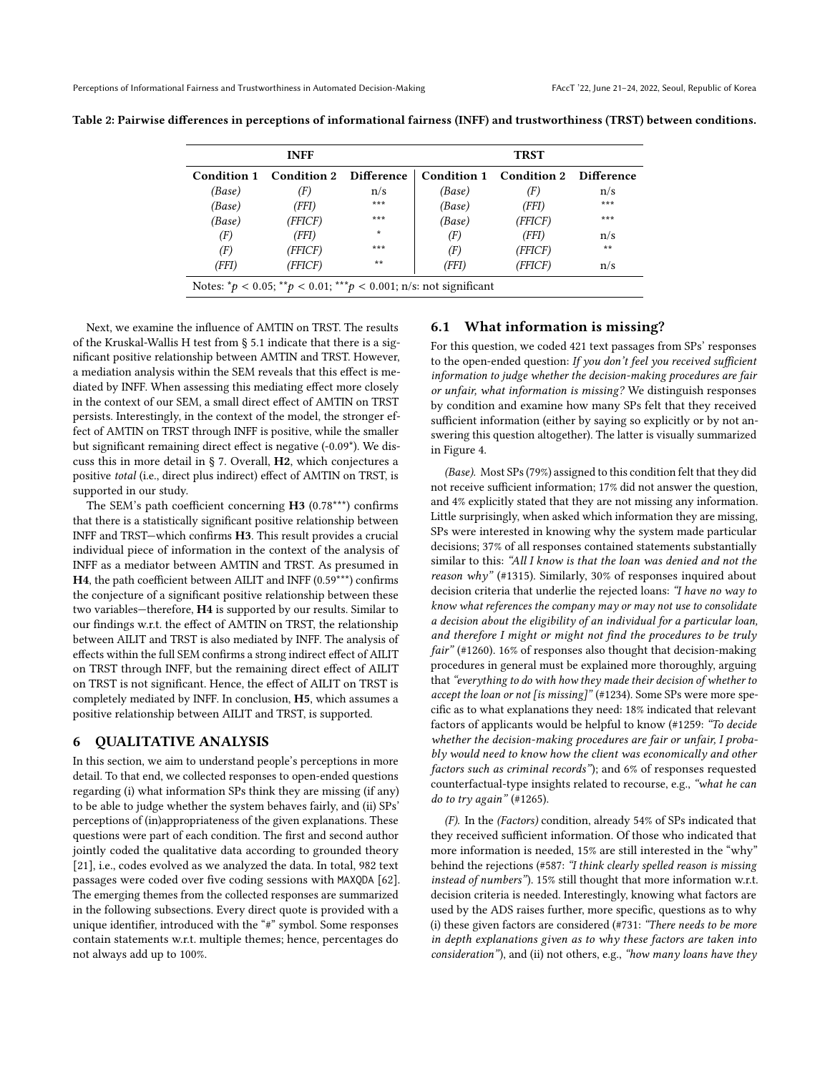| <b>INFF</b>                                                                        |                               |         | <b>TRST</b> |                                    |       |  |  |  |
|------------------------------------------------------------------------------------|-------------------------------|---------|-------------|------------------------------------|-------|--|--|--|
| Condition 1                                                                        | <b>Condition 2 Difference</b> |         |             | Condition 1 Condition 2 Difference |       |  |  |  |
| (Base)                                                                             | (F)                           | n/s     | (Base)      | (F)                                | n/s   |  |  |  |
| (Base)                                                                             | (FFI)                         | ***     | (Base)      | (FFI)                              | ***   |  |  |  |
| (Base)                                                                             | (FFICF)                       | ***     | (Base)      | (FFICF)                            | ***   |  |  |  |
| (F)                                                                                | (FFI)                         | $\star$ | (F)         | (FFI)                              | n/s   |  |  |  |
| (F)                                                                                | (FFICF)                       | ***     | (F)         | (FFICF)                            | $***$ |  |  |  |
| (FFI)                                                                              | (FFICF)                       | **      | (FFI)       | (FFICF)                            | n/s   |  |  |  |
| Notes: ${}^*p$ < 0.05; ${}^{**}p$ < 0.01; ${}^{**}p$ < 0.001; n/s: not significant |                               |         |             |                                    |       |  |  |  |

<span id="page-6-0"></span>Table 2: Pairwise differences in perceptions of informational fairness (INFF) and trustworthiness (TRST) between conditions.

Next, we examine the influence of AMTIN on TRST. The results of the Kruskal-Wallis H test from § [5.1](#page-5-2) indicate that there is a significant positive relationship between AMTIN and TRST. However, a mediation analysis within the SEM reveals that this effect is mediated by INFF. When assessing this mediating effect more closely in the context of our SEM, a small direct effect of AMTIN on TRST persists. Interestingly, in the context of the model, the stronger effect of AMTIN on TRST through INFF is positive, while the smaller but significant remaining direct effect is negative (-0.09\*). We discuss this in more detail in § [7.](#page-8-0) Overall, H2, which conjectures a positive total (i.e., direct plus indirect) effect of AMTIN on TRST, is supported in our study.

The SEM's path coefficient concerning H3 (0.78\*\*\*) confirms that there is a statistically significant positive relationship between INFF and TRST—which confirms H3. This result provides a crucial individual piece of information in the context of the analysis of INFF as a mediator between AMTIN and TRST. As presumed in H4, the path coefficient between AILIT and INFF (0.59\*\*\*) confirms the conjecture of a significant positive relationship between these two variables—therefore, H4 is supported by our results. Similar to our findings w.r.t. the effect of AMTIN on TRST, the relationship between AILIT and TRST is also mediated by INFF. The analysis of effects within the full SEM confirms a strong indirect effect of AILIT on TRST through INFF, but the remaining direct effect of AILIT on TRST is not significant. Hence, the effect of AILIT on TRST is completely mediated by INFF. In conclusion, H5, which assumes a positive relationship between AILIT and TRST, is supported.

### 6 QUALITATIVE ANALYSIS

In this section, we aim to understand people's perceptions in more detail. To that end, we collected responses to open-ended questions regarding (i) what information SPs think they are missing (if any) to be able to judge whether the system behaves fairly, and (ii) SPs' perceptions of (in)appropriateness of the given explanations. These questions were part of each condition. The first and second author jointly coded the qualitative data according to grounded theory [\[21\]](#page-10-48), i.e., codes evolved as we analyzed the data. In total, 982 text passages were coded over five coding sessions with MAXQDA [\[62\]](#page-11-47). The emerging themes from the collected responses are summarized in the following subsections. Every direct quote is provided with a unique identifier, introduced with the "#" symbol. Some responses contain statements w.r.t. multiple themes; hence, percentages do not always add up to 100%.

### <span id="page-6-1"></span>6.1 What information is missing?

For this question, we coded 421 text passages from SPs' responses to the open-ended question: If you don't feel you received sufficient information to judge whether the decision-making procedures are fair or unfair, what information is missing? We distinguish responses by condition and examine how many SPs felt that they received sufficient information (either by saying so explicitly or by not answering this question altogether). The latter is visually summarized in Figure [4.](#page-7-1)

(Base). Most SPs (79%) assigned to this condition felt that they did not receive sufficient information; 17% did not answer the question, and 4% explicitly stated that they are not missing any information. Little surprisingly, when asked which information they are missing, SPs were interested in knowing why the system made particular decisions; 37% of all responses contained statements substantially similar to this: "All I know is that the loan was denied and not the reason why" (#1315). Similarly,  $30\%$  of responses inquired about decision criteria that underlie the rejected loans: "I have no way to know what references the company may or may not use to consolidate a decision about the eligibility of an individual for a particular loan, and therefore I might or might not find the procedures to be truly fair" (#1260). 16% of responses also thought that decision-making procedures in general must be explained more thoroughly, arguing that "everything to do with how they made their decision of whether to accept the loan or not [is missing]" (#1234). Some SPs were more specific as to what explanations they need: 18% indicated that relevant factors of applicants would be helpful to know (#1259: "To decide whether the decision-making procedures are fair or unfair, I probably would need to know how the client was economically and other factors such as criminal records"); and 6% of responses requested counterfactual-type insights related to recourse, e.g., "what he can do to try again" (#1265).

(F). In the (Factors) condition, already 54% of SPs indicated that they received sufficient information. Of those who indicated that more information is needed, 15% are still interested in the "why" behind the rejections (#587: "I think clearly spelled reason is missing instead of numbers"). 15% still thought that more information w.r.t. decision criteria is needed. Interestingly, knowing what factors are used by the ADS raises further, more specific, questions as to why (i) these given factors are considered (#731: "There needs to be more in depth explanations given as to why these factors are taken into consideration"), and (ii) not others, e.g., "how many loans have they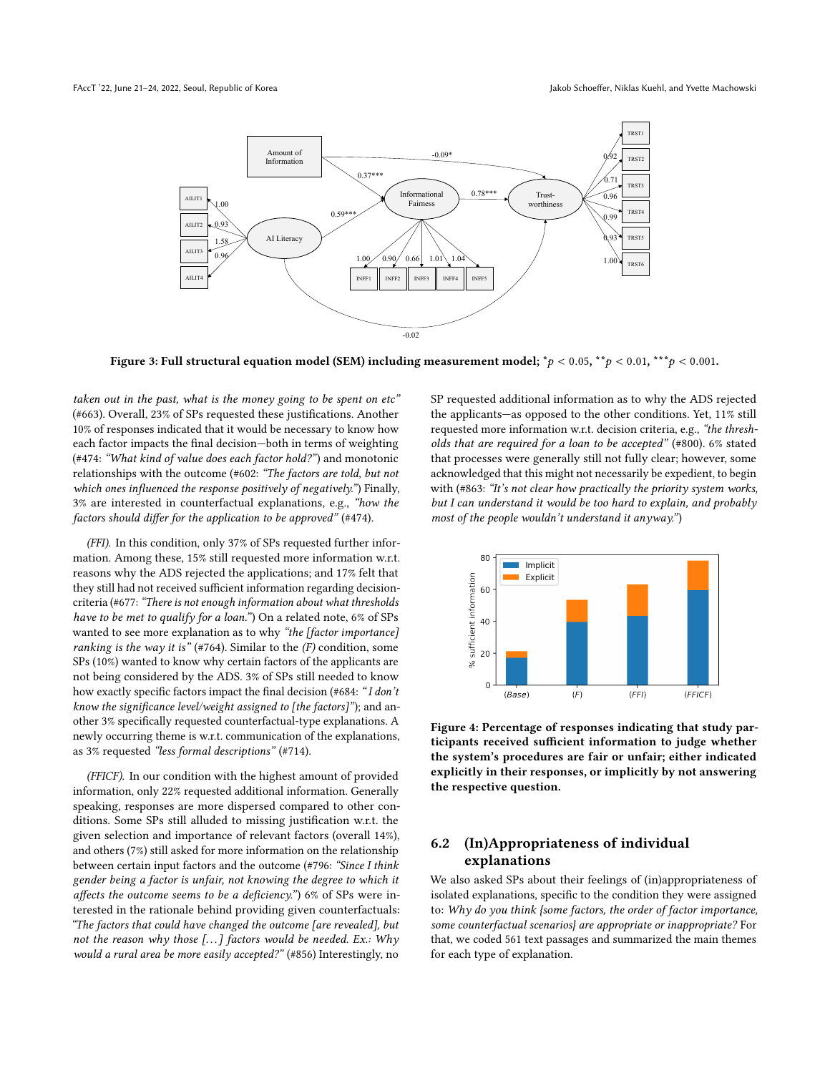<span id="page-7-0"></span>

Figure 3: Full structural equation model (SEM) including measurement model;  ${}^*p$  < 0.05,  ${}^*p$  < 0.01,  ${}^{**}p$  < 0.001.

taken out in the past, what is the money going to be spent on etc" (#663). Overall, 23% of SPs requested these justifications. Another 10% of responses indicated that it would be necessary to know how each factor impacts the final decision—both in terms of weighting (#474: "What kind of value does each factor hold?") and monotonic relationships with the outcome (#602: "The factors are told, but not which ones influenced the response positively of negatively.") Finally, 3% are interested in counterfactual explanations, e.g., "how the factors should differ for the application to be approved" (#474).

(FFI). In this condition, only 37% of SPs requested further information. Among these, 15% still requested more information w.r.t. reasons why the ADS rejected the applications; and 17% felt that they still had not received sufficient information regarding decisioncriteria (#677:"There is not enough information about what thresholds have to be met to qualify for a loan.") On a related note, 6% of SPs wanted to see more explanation as to why "the [factor importance] ranking is the way it is" (#764). Similar to the  $(F)$  condition, some SPs (10%) wanted to know why certain factors of the applicants are not being considered by the ADS. 3% of SPs still needed to know how exactly specific factors impact the final decision (#684: "I don't know the significance level/weight assigned to [the factors]"); and another 3% specifically requested counterfactual-type explanations. A newly occurring theme is w.r.t. communication of the explanations, as 3% requested "less formal descriptions" (#714).

(FFICF). In our condition with the highest amount of provided information, only 22% requested additional information. Generally speaking, responses are more dispersed compared to other conditions. Some SPs still alluded to missing justification w.r.t. the given selection and importance of relevant factors (overall 14%), and others (7%) still asked for more information on the relationship between certain input factors and the outcome (#796: "Since I think gender being a factor is unfair, not knowing the degree to which it affects the outcome seems to be a deficiency.") 6% of SPs were interested in the rationale behind providing given counterfactuals: "The factors that could have changed the outcome [are revealed], but not the reason why those  $[...]$  factors would be needed. Ex.: Why would a rural area be more easily accepted?" (#856) Interestingly, no

SP requested additional information as to why the ADS rejected the applicants—as opposed to the other conditions. Yet, 11% still requested more information w.r.t. decision criteria, e.g., "the thresholds that are required for a loan to be accepted" (#800). 6% stated that processes were generally still not fully clear; however, some acknowledged that this might not necessarily be expedient, to begin with (#863: "It's not clear how practically the priority system works, but I can understand it would be too hard to explain, and probably most of the people wouldn't understand it anyway.")

<span id="page-7-1"></span>

Figure 4: Percentage of responses indicating that study participants received sufficient information to judge whether the system's procedures are fair or unfair; either indicated explicitly in their responses, or implicitly by not answering the respective question.

## 6.2 (In)Appropriateness of individual explanations

We also asked SPs about their feelings of (in)appropriateness of isolated explanations, specific to the condition they were assigned to: Why do you think {some factors, the order of factor importance, some counterfactual scenarios} are appropriate or inappropriate? For that, we coded 561 text passages and summarized the main themes for each type of explanation.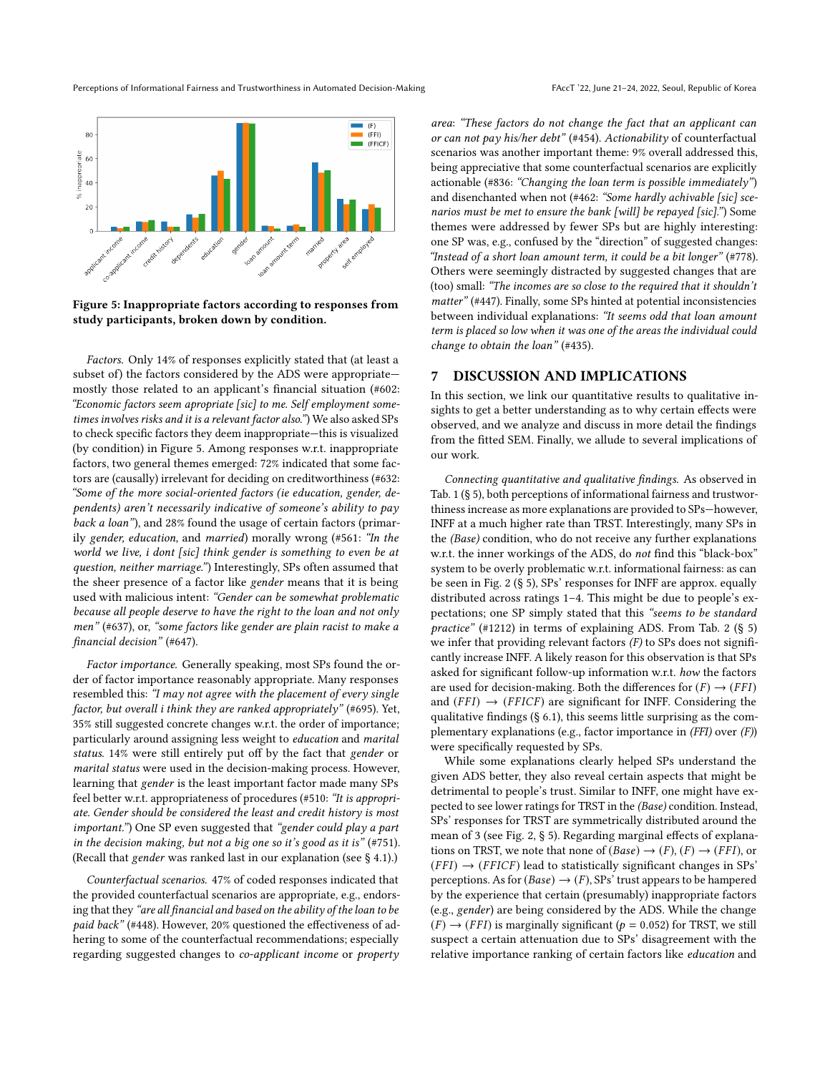Perceptions of Informational Fairness and Trustworthiness in Automated Decision-Making FACCT '22, June 21-24, 2022, Seoul, Republic of Korea

<span id="page-8-1"></span>

Figure 5: Inappropriate factors according to responses from study participants, broken down by condition.

Factors. Only 14% of responses explicitly stated that (at least a subset of) the factors considered by the ADS were appropriate mostly those related to an applicant's financial situation (#602: "Economic factors seem apropriate [sic] to me. Self employment sometimes involves risks and it is a relevant factor also.") We also asked SPs to check specific factors they deem inappropriate—this is visualized (by condition) in Figure [5.](#page-8-1) Among responses w.r.t. inappropriate factors, two general themes emerged: 72% indicated that some factors are (causally) irrelevant for deciding on creditworthiness (#632: "Some of the more social-oriented factors (ie education, gender, dependents) aren't necessarily indicative of someone's ability to pay back a loan"), and 28% found the usage of certain factors (primarily gender, education, and married) morally wrong (#561: "In the world we live, i dont [sic] think gender is something to even be at question, neither marriage.") Interestingly, SPs often assumed that the sheer presence of a factor like gender means that it is being used with malicious intent: "Gender can be somewhat problematic because all people deserve to have the right to the loan and not only men" (#637), or, "some factors like gender are plain racist to make a financial decision" (#647).

Factor importance. Generally speaking, most SPs found the order of factor importance reasonably appropriate. Many responses resembled this: "I may not agree with the placement of every single factor, but overall i think they are ranked appropriately" (#695). Yet, 35% still suggested concrete changes w.r.t. the order of importance; particularly around assigning less weight to education and marital status. 14% were still entirely put off by the fact that gender or marital status were used in the decision-making process. However, learning that gender is the least important factor made many SPs feel better w.r.t. appropriateness of procedures (#510: "It is appropriate. Gender should be considered the least and credit history is most important.") One SP even suggested that "gender could play a part in the decision making, but not a big one so it's good as it is" (#751). (Recall that gender was ranked last in our explanation (see § [4.1\)](#page-3-0).)

Counterfactual scenarios. 47% of coded responses indicated that the provided counterfactual scenarios are appropriate, e.g., endorsing that they "are all financial and based on the ability of the loan to be paid back" (#448). However, 20% questioned the effectiveness of adhering to some of the counterfactual recommendations; especially regarding suggested changes to co-applicant income or property area: "These factors do not change the fact that an applicant can or can not pay his/her debt" (#454). Actionability of counterfactual scenarios was another important theme: 9% overall addressed this, being appreciative that some counterfactual scenarios are explicitly actionable (#836: "Changing the loan term is possible immediately") and disenchanted when not (#462: "Some hardly achivable [sic] scenarios must be met to ensure the bank [will] be repayed [sic].") Some themes were addressed by fewer SPs but are highly interesting: one SP was, e.g., confused by the "direction" of suggested changes: "Instead of a short loan amount term, it could be a bit longer" (#778). Others were seemingly distracted by suggested changes that are (too) small: "The incomes are so close to the required that it shouldn't matter" (#447). Finally, some SPs hinted at potential inconsistencies between individual explanations: "It seems odd that loan amount term is placed so low when it was one of the areas the individual could change to obtain the loan" (#435).

### <span id="page-8-0"></span>7 DISCUSSION AND IMPLICATIONS

In this section, we link our quantitative results to qualitative insights to get a better understanding as to why certain effects were observed, and we analyze and discuss in more detail the findings from the fitted SEM. Finally, we allude to several implications of our work.

Connecting quantitative and qualitative findings. As observed in Tab. [1](#page-5-0) (§ [5\)](#page-5-3), both perceptions of informational fairness and trustworthiness increase as more explanations are provided to SPs—however, INFF at a much higher rate than TRST. Interestingly, many SPs in the (Base) condition, who do not receive any further explanations w.r.t. the inner workings of the ADS, do not find this "black-box" system to be overly problematic w.r.t. informational fairness: as can be seen in Fig. [2](#page-5-1) (§ [5\)](#page-5-3), SPs' responses for INFF are approx. equally distributed across ratings 1–4. This might be due to people's expectations; one SP simply stated that this "seems to be standard practice" (#1212) in terms of explaining ADS. From Tab. [2](#page-6-0) (§ [5\)](#page-5-3) we infer that providing relevant factors  $(F)$  to SPs does not significantly increase INFF. A likely reason for this observation is that SPs asked for significant follow-up information w.r.t. how the factors are used for decision-making. Both the differences for  $(F) \rightarrow (FFI)$ and  $(FFI) \rightarrow (FFICF)$  are significant for INFF. Considering the qualitative findings (§ [6.1\)](#page-6-1), this seems little surprising as the complementary explanations (e.g., factor importance in (FFI) over (F)) were specifically requested by SPs.

While some explanations clearly helped SPs understand the given ADS better, they also reveal certain aspects that might be detrimental to people's trust. Similar to INFF, one might have expected to see lower ratings for TRST in the (Base) condition. Instead, SPs' responses for TRST are symmetrically distributed around the mean of 3 (see Fig. [2,](#page-5-1) § [5\)](#page-5-3). Regarding marginal effects of explanations on TRST, we note that none of  $(Base) \rightarrow (F)$ ,  $(F) \rightarrow (FFI)$ , or  $(FFI) \rightarrow (FFICF)$  lead to statistically significant changes in SPs' perceptions. As for  $(Base) \rightarrow (F)$ , SPs' trust appears to be hampered by the experience that certain (presumably) inappropriate factors (e.g., gender) are being considered by the ADS. While the change  $(F) \rightarrow (FFI)$  is marginally significant ( $p = 0.052$ ) for TRST, we still suspect a certain attenuation due to SPs' disagreement with the relative importance ranking of certain factors like education and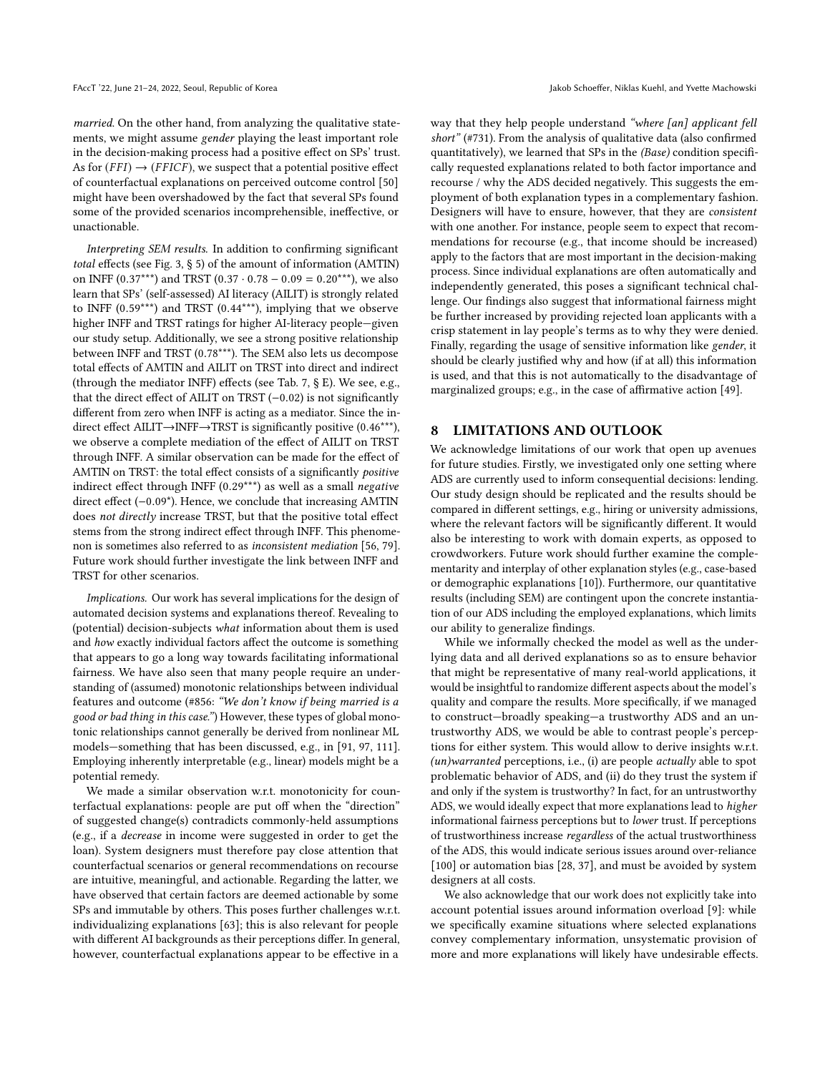married. On the other hand, from analyzing the qualitative statements, we might assume gender playing the least important role in the decision-making process had a positive effect on SPs' trust. As for  $(FFI) \rightarrow (FFICF)$ , we suspect that a potential positive effect of counterfactual explanations on perceived outcome control [\[50\]](#page-10-39) might have been overshadowed by the fact that several SPs found some of the provided scenarios incomprehensible, ineffective, or unactionable.

Interpreting SEM results. In addition to confirming significant total effects (see Fig. [3,](#page-7-0) § [5\)](#page-5-3) of the amount of information (AMTIN) on INFF (0.37<sup>\*\*\*</sup>) and TRST (0.37 · 0.78 – 0.09 = 0.20<sup>\*\*\*</sup>), we also learn that SPs' (self-assessed) AI literacy (AILIT) is strongly related to INFF (0.59\*\*\*) and TRST (0.44\*\*\*), implying that we observe higher INFF and TRST ratings for higher AI-literacy people—given our study setup. Additionally, we see a strong positive relationship between INFF and TRST (0.78\*\*\*). The SEM also lets us decompose total effects of AMTIN and AILIT on TRST into direct and indirect (through the mediator INFF) effects (see Tab. 7, § E). We see, e.g., that the direct effect of AILIT on TRST (−0.02) is not significantly different from zero when INFF is acting as a mediator. Since the indirect effect AILIT→INFF→TRST is significantly positive (0.46\*\*\*), we observe a complete mediation of the effect of AILIT on TRST through INFF. A similar observation can be made for the effect of AMTIN on TRST: the total effect consists of a significantly positive indirect effect through INFF (0.29\*\*\*) as well as a small negative direct effect (−0.09\*). Hence, we conclude that increasing AMTIN does not directly increase TRST, but that the positive total effect stems from the strong indirect effect through INFF. This phenomenon is sometimes also referred to as inconsistent mediation [\[56,](#page-11-46) [79\]](#page-11-48). Future work should further investigate the link between INFF and TRST for other scenarios.

Implications. Our work has several implications for the design of automated decision systems and explanations thereof. Revealing to (potential) decision-subjects what information about them is used and how exactly individual factors affect the outcome is something that appears to go a long way towards facilitating informational fairness. We have also seen that many people require an understanding of (assumed) monotonic relationships between individual features and outcome (#856: "We don't know if being married is a good or bad thing in this case.") However, these types of global monotonic relationships cannot generally be derived from nonlinear ML models—something that has been discussed, e.g., in [\[91,](#page-11-49) [97,](#page-11-50) [111\]](#page-12-10). Employing inherently interpretable (e.g., linear) models might be a potential remedy.

We made a similar observation w.r.t. monotonicity for counterfactual explanations: people are put off when the "direction" of suggested change(s) contradicts commonly-held assumptions (e.g., if a decrease in income were suggested in order to get the loan). System designers must therefore pay close attention that counterfactual scenarios or general recommendations on recourse are intuitive, meaningful, and actionable. Regarding the latter, we have observed that certain factors are deemed actionable by some SPs and immutable by others. This poses further challenges w.r.t. individualizing explanations [\[63\]](#page-11-51); this is also relevant for people with different AI backgrounds as their perceptions differ. In general, however, counterfactual explanations appear to be effective in a

way that they help people understand "where [an] applicant fell short" (#731). From the analysis of qualitative data (also confirmed quantitatively), we learned that SPs in the (Base) condition specifically requested explanations related to both factor importance and recourse / why the ADS decided negatively. This suggests the employment of both explanation types in a complementary fashion. Designers will have to ensure, however, that they are consistent with one another. For instance, people seem to expect that recommendations for recourse (e.g., that income should be increased) apply to the factors that are most important in the decision-making process. Since individual explanations are often automatically and independently generated, this poses a significant technical challenge. Our findings also suggest that informational fairness might be further increased by providing rejected loan applicants with a crisp statement in lay people's terms as to why they were denied. Finally, regarding the usage of sensitive information like gender, it should be clearly justified why and how (if at all) this information is used, and that this is not automatically to the disadvantage of marginalized groups; e.g., in the case of affirmative action [\[49\]](#page-10-49).

### 8 LIMITATIONS AND OUTLOOK

We acknowledge limitations of our work that open up avenues for future studies. Firstly, we investigated only one setting where ADS are currently used to inform consequential decisions: lending. Our study design should be replicated and the results should be compared in different settings, e.g., hiring or university admissions, where the relevant factors will be significantly different. It would also be interesting to work with domain experts, as opposed to crowdworkers. Future work should further examine the complementarity and interplay of other explanation styles (e.g., case-based or demographic explanations [\[10\]](#page-10-32)). Furthermore, our quantitative results (including SEM) are contingent upon the concrete instantiation of our ADS including the employed explanations, which limits our ability to generalize findings.

While we informally checked the model as well as the underlying data and all derived explanations so as to ensure behavior that might be representative of many real-world applications, it would be insightful to randomize different aspects about the model's quality and compare the results. More specifically, if we managed to construct—broadly speaking—a trustworthy ADS and an untrustworthy ADS, we would be able to contrast people's perceptions for either system. This would allow to derive insights w.r.t. (un)warranted perceptions, i.e., (i) are people actually able to spot problematic behavior of ADS, and (ii) do they trust the system if and only if the system is trustworthy? In fact, for an untrustworthy ADS, we would ideally expect that more explanations lead to higher informational fairness perceptions but to lower trust. If perceptions of trustworthiness increase regardless of the actual trustworthiness of the ADS, this would indicate serious issues around over-reliance [\[100\]](#page-11-52) or automation bias [\[28,](#page-10-22) [37\]](#page-10-23), and must be avoided by system designers at all costs.

We also acknowledge that our work does not explicitly take into account potential issues around information overload [\[9\]](#page-10-45): while we specifically examine situations where selected explanations convey complementary information, unsystematic provision of more and more explanations will likely have undesirable effects.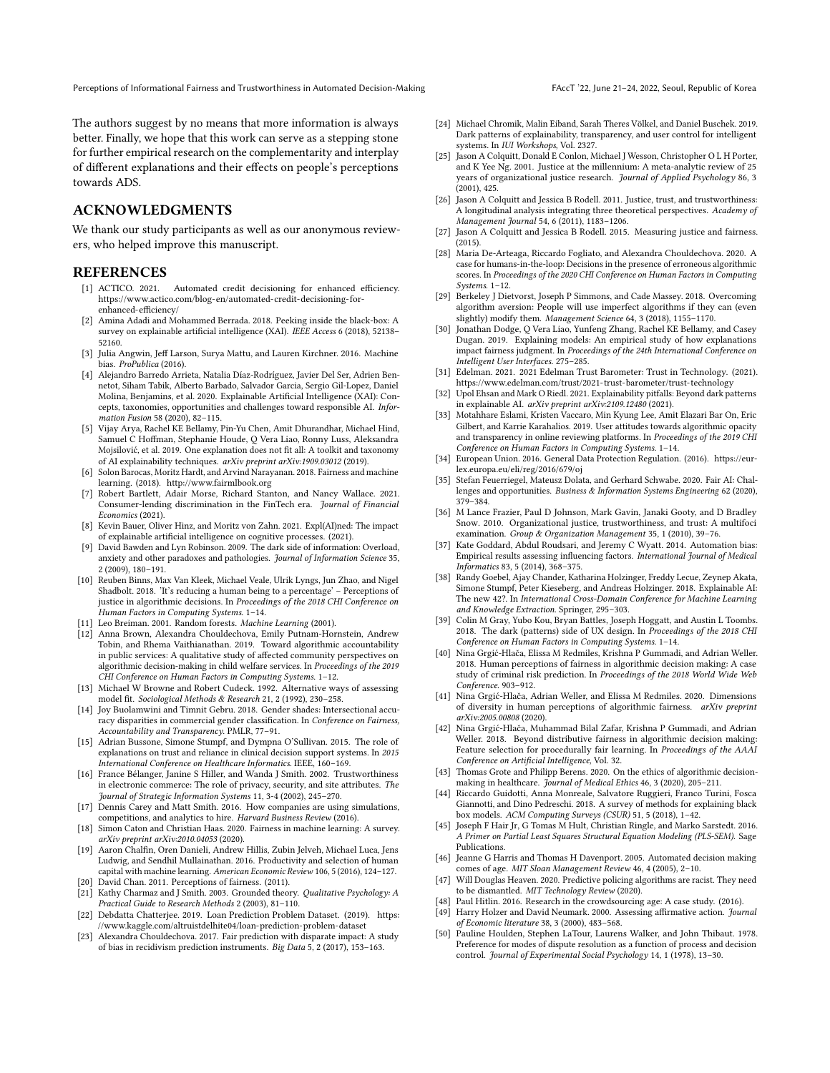Perceptions of Informational Fairness and Trustworthiness in Automated Decision-Making FACCT '22, June 21-24, 2022, Seoul, Republic of Korea

The authors suggest by no means that more information is always better. Finally, we hope that this work can serve as a stepping stone for further empirical research on the complementarity and interplay of different explanations and their effects on people's perceptions towards ADS.

### ACKNOWLEDGMENTS

We thank our study participants as well as our anonymous reviewers, who helped improve this manuscript.

### REFERENCES

- <span id="page-10-42"></span>[1] ACTICO. 2021. Automated credit decisioning for enhanced efficiency. [https://www.actico.com/blog-en/automated-credit-decisioning-for](https://www.actico.com/blog-en/automated-credit-decisioning-for-enhanced-efficiency/)[enhanced-efficiency/](https://www.actico.com/blog-en/automated-credit-decisioning-for-enhanced-efficiency/)
- <span id="page-10-28"></span>Amina Adadi and Mohammed Berrada. 2018. Peeking inside the black-box: A survey on explainable artificial intelligence (XAI). IEEE Access 6 (2018), 52138-52160.
- <span id="page-10-18"></span>[3] Julia Angwin, Jeff Larson, Surya Mattu, and Lauren Kirchner. 2016. Machine bias. ProPublica (2016).
- <span id="page-10-29"></span>[4] Alejandro Barredo Arrieta, Natalia Díaz-Rodríguez, Javier Del Ser, Adrien Bennetot, Siham Tabik, Alberto Barbado, Salvador Garcia, Sergio Gil-Lopez, Daniel Molina, Benjamins, et al. 2020. Explainable Artificial Intelligence (XAI): Concepts, taxonomies, opportunities and challenges toward responsible AI. Information Fusion 58 (2020), 82–115.
- <span id="page-10-9"></span>[5] Vijay Arya, Rachel KE Bellamy, Pin-Yu Chen, Amit Dhurandhar, Michael Hind, Samuel C Hoffman, Stephanie Houde, Q Vera Liao, Ronny Luss, Aleksandra Mojsilović, et al. 2019. One explanation does not fit all: A toolkit and taxonomy of AI explainability techniques. arXiv preprint arXiv:1909.03012 (2019).
- <span id="page-10-10"></span>[6] Solon Barocas, Moritz Hardt, and Arvind Narayanan. 2018. Fairness and machine learning. (2018).<http://www.fairmlbook.org>
- <span id="page-10-5"></span>[7] Robert Bartlett, Adair Morse, Richard Stanton, and Nancy Wallace. 2021. Consumer-lending discrimination in the FinTech era. Journal of Financial Economics (2021).
- <span id="page-10-27"></span>[8] Kevin Bauer, Oliver Hinz, and Moritz von Zahn. 2021. Expl(AI)ned: The impact of explainable artificial intelligence on cognitive processes. (2021).
- <span id="page-10-45"></span>[9] David Bawden and Lyn Robinson. 2009. The dark side of information: Overload, anxiety and other paradoxes and pathologies. Journal of Information Science 35, 2 (2009), 180–191.
- <span id="page-10-32"></span>[10] Reuben Binns, Max Van Kleek, Michael Veale, Ulrik Lyngs, Jun Zhao, and Nigel Shadbolt. 2018. 'It's reducing a human being to a percentage' – Perceptions of justice in algorithmic decisions. In Proceedings of the 2018 CHI Conference on Human Factors in Computing Systems. 1–14.
- <span id="page-10-44"></span>[11] Leo Breiman. 2001. Random forests. Machine Learning (2001).
- <span id="page-10-37"></span>[12] Anna Brown, Alexandra Chouldechova, Emily Putnam-Hornstein, Andrew Tobin, and Rhema Vaithianathan. 2019. Toward algorithmic accountability in public services: A qualitative study of affected community perspectives on algorithmic decision-making in child welfare services. In Proceedings of the 2019 CHI Conference on Human Factors in Computing Systems. 1–12.
- <span id="page-10-46"></span>[13] Michael W Browne and Robert Cudeck. 1992. Alternative ways of assessing model fit. Sociological Methods & Research 21, 2 (1992), 230–258.
- <span id="page-10-19"></span>[14] Joy Buolamwini and Timnit Gebru. 2018. Gender shades: Intersectional accuracy disparities in commercial gender classification. In Conference on Fairness, Accountability and Transparency. PMLR, 77–91.
- <span id="page-10-21"></span>[15] Adrian Bussone, Simone Stumpf, and Dympna O'Sullivan. 2015. The role of explanations on trust and reliance in clinical decision support systems. In 2015 International Conference on Healthcare Informatics. IEEE, 160–169.
- <span id="page-10-16"></span>[16] France Bélanger, Janine S Hiller, and Wanda J Smith. 2002. Trustworthiness in electronic commerce: The role of privacy, security, and site attributes. The Journal of Strategic Information Systems 11, 3-4 (2002), 245–270.
- <span id="page-10-17"></span>[17] Dennis Carey and Matt Smith. 2016. How companies are using simulations, competitions, and analytics to hire. Harvard Business Review (2016).
- <span id="page-10-11"></span>[18] Simon Caton and Christian Haas. 2020. Fairness in machine learning: A survey. arXiv preprint arXiv:2010.04053 (2020).
- <span id="page-10-2"></span>[19] Aaron Chalfin, Oren Danieli, Andrew Hillis, Zubin Jelveh, Michael Luca, Jens Ludwig, and Sendhil Mullainathan. 2016. Productivity and selection of human capital with machine learning. American Economic Review 106, 5 (2016), 124–127.
- <span id="page-10-15"></span>[20] David Chan. 2011. Perceptions of fairness. (2011).
- <span id="page-10-48"></span>[21] Kathy Charmaz and J Smith. 2003. Grounded theory. Qualitative Psychology: A Practical Guide to Research Methods 2 (2003), 81–110.
- <span id="page-10-43"></span>[22] Debdatta Chatterjee. 2019. Loan Prediction Problem Dataset. (2019). [https:](https://www.kaggle.com/altruistdelhite04/loan-prediction-problem-dataset) [//www.kaggle.com/altruistdelhite04/loan-prediction-problem-dataset](https://www.kaggle.com/altruistdelhite04/loan-prediction-problem-dataset)
- <span id="page-10-7"></span>[23] Alexandra Chouldechova. 2017. Fair prediction with disparate impact: A study of bias in recidivism prediction instruments. Big Data 5, 2 (2017), 153–163.
- <span id="page-10-25"></span>[24] Michael Chromik, Malin Eiband, Sarah Theres Völkel, and Daniel Buschek. 2019. Dark patterns of explainability, transparency, and user control for intelligent systems. In IUI Workshops, Vol. 2327.
- <span id="page-10-12"></span>[25] Jason A Colquitt, Donald E Conlon, Michael J Wesson, Christopher O L H Porter, and K Yee Ng. 2001. Justice at the millennium: A meta-analytic review of 25 years of organizational justice research. Journal of Applied Psychology 86, 3 (2001), 425.
- <span id="page-10-38"></span>[26] Jason A Colquitt and Jessica B Rodell. 2011. Justice, trust, and trustworthiness: A longitudinal analysis integrating three theoretical perspectives. Academy of Management Journal 54, 6 (2011), 1183–1206.
- <span id="page-10-13"></span>[27] Jason A Colquitt and Jessica B Rodell. 2015. Measuring justice and fairness. (2015).
- <span id="page-10-22"></span>[28] Maria De-Arteaga, Riccardo Fogliato, and Alexandra Chouldechova. 2020. A case for humans-in-the-loop: Decisions in the presence of erroneous algorithmic scores. In Proceedings of the 2020 CHI Conference on Human Factors in Computing Systems. 1–12.
- <span id="page-10-40"></span>[29] Berkeley J Dietvorst, Joseph P Simmons, and Cade Massey. 2018. Overcoming algorithm aversion: People will use imperfect algorithms if they can (even slightly) modify them. Management Science 64, 3 (2018), 1155-1170.
- <span id="page-10-33"></span>[30] Jonathan Dodge, Q Vera Liao, Yunfeng Zhang, Rachel KE Bellamy, and Casey Dugan. 2019. Explaining models: An empirical study of how explanations impact fairness judgment. In Proceedings of the 24th International Conference on Intelligent User Interfaces. 275–285.
- <span id="page-10-6"></span>[31] Edelman. 2021. 2021 Edelman Trust Barometer: Trust in Technology. (2021). <https://www.edelman.com/trust/2021-trust-barometer/trust-technology>
- <span id="page-10-24"></span>[32] Upol Ehsan and Mark O Riedl. 2021. Explainability pitfalls: Beyond dark patterns in explainable AI. arXiv preprint arXiv:2109.12480 (2021).
- <span id="page-10-20"></span>[33] Motahhare Eslami, Kristen Vaccaro, Min Kyung Lee, Amit Elazari Bar On, Eric Gilbert, and Karrie Karahalios. 2019. User attitudes towards algorithmic opacity and transparency in online reviewing platforms. In Proceedings of the 2019 CHI Conference on Human Factors in Computing Systems. 1–14.
- <span id="page-10-8"></span>[34] European Union. 2016. General Data Protection Regulation. (2016). [https://eur](https://eur-lex.europa.eu/eli/reg/2016/679/oj)[lex.europa.eu/eli/reg/2016/679/oj](https://eur-lex.europa.eu/eli/reg/2016/679/oj)
- <span id="page-10-4"></span>[35] Stefan Feuerriegel, Mateusz Dolata, and Gerhard Schwabe. 2020. Fair AI: Challenges and opportunities. Business & Information Systems Engineering 62 (2020), 379–384.
- <span id="page-10-41"></span>[36] M Lance Frazier, Paul D Johnson, Mark Gavin, Janaki Gooty, and D Bradley Snow. 2010. Organizational justice, trustworthiness, and trust: A multifoci examination. Group & Organization Management 35, 1 (2010), 39–76.
- <span id="page-10-23"></span>[37] Kate Goddard, Abdul Roudsari, and Jeremy C Wyatt. 2014. Automation bias: Empirical results assessing influencing factors. International Journal of Medical Informatics 83, 5 (2014), 368–375.
- <span id="page-10-30"></span>[38] Randy Goebel, Ajay Chander, Katharina Holzinger, Freddy Lecue, Zeynep Akata, Simone Stumpf, Peter Kieseberg, and Andreas Holzinger. 2018. Explainable AI: The new 42?. In International Cross-Domain Conference for Machine Learning and Knowledge Extraction. Springer, 295–303.
- <span id="page-10-26"></span>[39] Colin M Gray, Yubo Kou, Bryan Battles, Joseph Hoggatt, and Austin L Toombs. 2018. The dark (patterns) side of UX design. In Proceedings of the 2018 CHI Conference on Human Factors in Computing Systems. 1–14.
- <span id="page-10-34"></span>[40] Nina Grgić-Hlača, Elissa M Redmiles, Krishna P Gummadi, and Adrian Weller. 2018. Human perceptions of fairness in algorithmic decision making: A case study of criminal risk prediction. In Proceedings of the 2018 World Wide Web Conference. 903–912.
- <span id="page-10-35"></span>[41] Nina Grgić-Hlača, Adrian Weller, and Elissa M Redmiles. 2020. Dimensions of diversity in human perceptions of algorithmic fairness. arXiv preprint arXiv:2005.00808 (2020).
- <span id="page-10-14"></span>[42] Nina Grgić-Hlača, Muhammad Bilal Zafar, Krishna P Gummadi, and Adrian Weller. 2018. Beyond distributive fairness in algorithmic decision making: Feature selection for procedurally fair learning. In Proceedings of the AAAI Conference on Artificial Intelligence, Vol. 32.
- <span id="page-10-3"></span>[43] Thomas Grote and Philipp Berens. 2020. On the ethics of algorithmic decisionmaking in healthcare. Journal of Medical Ethics 46, 3 (2020), 205-211.
- <span id="page-10-31"></span>[44] Riccardo Guidotti, Anna Monreale, Salvatore Ruggieri, Franco Turini, Fosca Giannotti, and Dino Pedreschi. 2018. A survey of methods for explaining black box models. ACM Computing Surveys (CSUR) 51, 5 (2018), 1–42.
- <span id="page-10-47"></span>[45] Joseph F Hair Jr, G Tomas M Hult, Christian Ringle, and Marko Sarstedt. 2016. A Primer on Partial Least Squares Structural Equation Modeling (PLS-SEM). Sage Publications.
- <span id="page-10-1"></span>[46] Jeanne G Harris and Thomas H Davenport. 2005. Automated decision making comes of age. MIT Sloan Management Review 46, 4 (2005), 2–10.
- <span id="page-10-0"></span>[47] Will Douglas Heaven. 2020. Predictive policing algorithms are racist. They need to be dismantled. MIT Technology Review (2020).
- <span id="page-10-36"></span>Paul Hitlin. 2016. Research in the crowdsourcing age: A case study. (2016).
- <span id="page-10-49"></span>[49] Harry Holzer and David Neumark. 2000. Assessing affirmative action. Journal of Economic literature 38, 3 (2000), 483–568.
- <span id="page-10-39"></span>[50] Pauline Houlden, Stephen LaTour, Laurens Walker, and John Thibaut. 1978. Preference for modes of dispute resolution as a function of process and decision control. Journal of Experimental Social Psychology 14, 1 (1978), 13-30.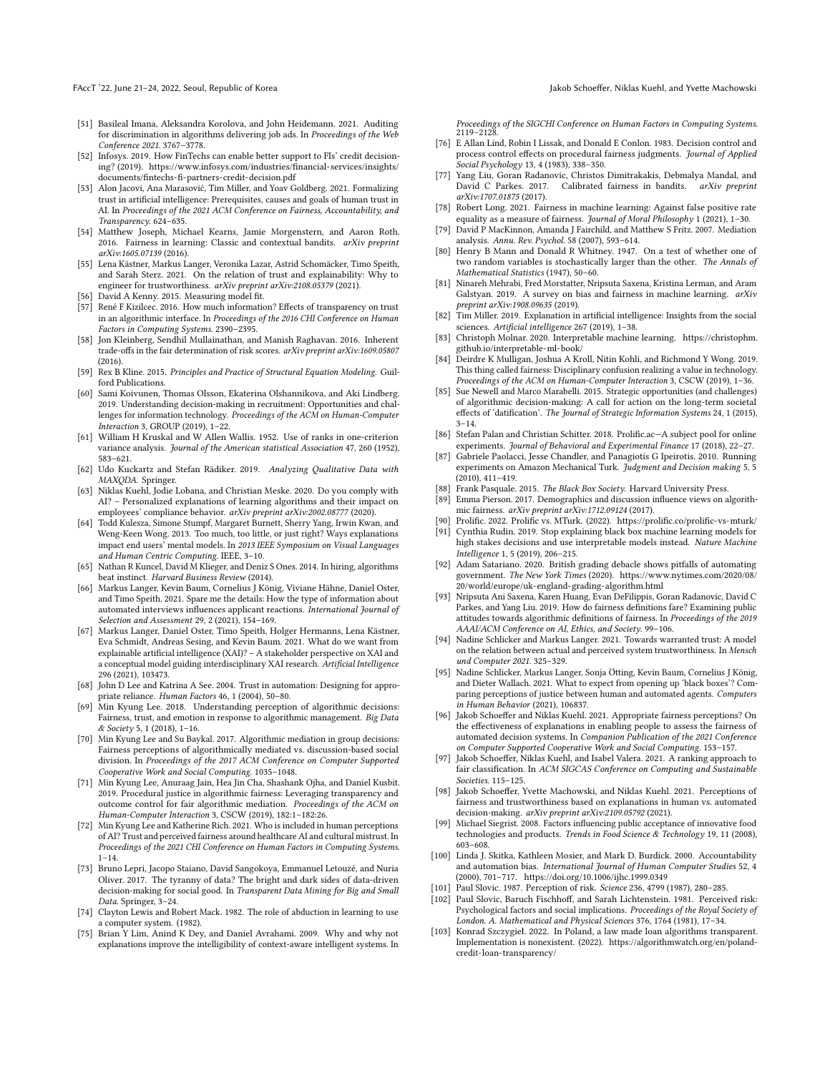- <span id="page-11-5"></span>[51] Basileal Imana, Aleksandra Korolova, and John Heidemann. 2021. Auditing for discrimination in algorithms delivering job ads. In Proceedings of the Web Conference 2021. 3767–3778.
- <span id="page-11-41"></span>[52] Infosys. 2019. How FinTechs can enable better support to FIs' credit decisioning? (2019). [https://www.infosys.com/industries/financial-services/insights/](https://www.infosys.com/industries/financial-services/insights/documents/fintechs-fi-partners-credit-decision.pdf) [documents/fintechs-fi-partners-credit-decision.pdf](https://www.infosys.com/industries/financial-services/insights/documents/fintechs-fi-partners-credit-decision.pdf)
- <span id="page-11-13"></span>[53] Alon Jacovi, Ana Marasović, Tim Miller, and Yoav Goldberg. 2021. Formalizing trust in artificial intelligence: Prerequisites, causes and goals of human trust in AI. In Proceedings of the 2021 ACM Conference on Fairness, Accountability, and Transparency. 624–635.
- <span id="page-11-29"></span>[54] Matthew Joseph, Michael Kearns, Jamie Morgenstern, and Aaron Roth. 2016. Fairness in learning: Classic and contextual bandits. arXiv preprint arXiv:1605.07139 (2016).
- <span id="page-11-32"></span>[55] Lena Kästner, Markus Langer, Veronika Lazar, Astrid Schomäcker, Timo Speith, and Sarah Sterz. 2021. On the relation of trust and explainability: Why to engineer for trustworthiness. arXiv preprint arXiv:2108.05379 (2021).
- <span id="page-11-46"></span>[56] David A Kenny. 2015. Measuring model fit.
- <span id="page-11-31"></span>[57] René F Kizilcec. 2016. How much information? Effects of transparency on trust in an algorithmic interface. In Proceedings of the 2016 CHI Conference on Human Factors in Computing Systems. 2390–2395.
- <span id="page-11-7"></span>[58] Jon Kleinberg, Sendhil Mullainathan, and Manish Raghavan. 2016. Inherent trade-offs in the fair determination of risk scores. arXiv preprint arXiv:1609.05807 (2016).
- <span id="page-11-45"></span>[59] Rex B Kline. 2015. Principles and Practice of Structural Equation Modeling. Guilford Publications.
- <span id="page-11-3"></span>[60] Sami Koivunen, Thomas Olsson, Ekaterina Olshannikova, and Aki Lindberg. 2019. Understanding decision-making in recruitment: Opportunities and challenges for information technology. Proceedings of the ACM on Human-Computer Interaction 3, GROUP (2019), 1–22.
- <span id="page-11-43"></span>[61] William H Kruskal and W Allen Wallis. 1952. Use of ranks in one-criterion variance analysis. Journal of the American statistical Association 47, 260 (1952), 583–621.
- <span id="page-11-47"></span>[62] Udo Kuckartz and Stefan Rädiker. 2019. Analyzing Qualitative Data with MAXQDA. Springer.
- <span id="page-11-51"></span>[63] Niklas Kuehl, Jodie Lobana, and Christian Meske, 2020. Do you comply with AI? – Personalized explanations of learning algorithms and their impact on employees' compliance behavior. arXiv preprint arXiv:2002.08777 (2020).
- <span id="page-11-19"></span>[64] Todd Kulesza, Simone Stumpf, Margaret Burnett, Sherry Yang, Irwin Kwan, and Weng-Keen Wong. 2013. Too much, too little, or just right? Ways explanations impact end users' mental models. In 2013 IEEE Symposium on Visual Languages and Human Centric Computing. IEEE, 3–10.
- <span id="page-11-0"></span>[65] Nathan R Kuncel, David M Klieger, and Deniz S Ones. 2014. In hiring, algorithms beat instinct. Harvard Business Review (2014).
- <span id="page-11-20"></span>[66] Markus Langer, Kevin Baum, Cornelius J König, Viviane Hähne, Daniel Oster, and Timo Speith. 2021. Spare me the details: How the type of information about automated interviews influences applicant reactions. International Journal of Selection and Assessment 29, 2 (2021), 154–169.
- <span id="page-11-10"></span>[67] Markus Langer, Daniel Oster, Timo Speith, Holger Hermanns, Lena Kästner, Eva Schmidt, Andreas Sesing, and Kevin Baum. 2021. What do we want from explainable artificial intelligence (XAI)? – A stakeholder perspective on XAI and a conceptual model guiding interdisciplinary XAI research. Artificial Intelligence 296 (2021), 103473.
- <span id="page-11-14"></span>[68] John D Lee and Katrina A See. 2004. Trust in automation: Designing for appropriate reliance. Human Factors 46, 1 (2004), 50–80.
- <span id="page-11-25"></span>[69] Min Kyung Lee. 2018. Understanding perception of algorithmic decisions: Fairness, trust, and emotion in response to algorithmic management. Big Data & Society 5, 1 (2018), 1–16.
- <span id="page-11-26"></span>[70] Min Kyung Lee and Su Baykal. 2017. Algorithmic mediation in group decisions: Fairness perceptions of algorithmically mediated vs. discussion-based social division. In Proceedings of the 2017 ACM Conference on Computer Supported Cooperative Work and Social Computing. 1035–1048.
- <span id="page-11-11"></span>[71] Min Kyung Lee, Anuraag Jain, Hea Jin Cha, Shashank Ojha, and Daniel Kusbit. 2019. Procedural justice in algorithmic fairness: Leveraging transparency and outcome control for fair algorithmic mediation. Proceedings of the ACM on Human-Computer Interaction 3, CSCW (2019), 182:1–182:26.
- <span id="page-11-33"></span>[72] Min Kyung Lee and Katherine Rich. 2021. Who is included in human perceptions of AI? Trust and perceived fairness around healthcare AI and cultural mistrust. In Proceedings of the 2021 CHI Conference on Human Factors in Computing Systems.  $1 - 14.$
- <span id="page-11-4"></span>[73] Bruno Lepri, Jacopo Staiano, David Sangokoya, Emmanuel Letouzé, and Nuria Oliver. 2017. The tyranny of data? The bright and dark sides of data-driven decision-making for social good. In Transparent Data Mining for Big and Small Data. Springer, 3–24.
- <span id="page-11-18"></span>[74] Clayton Lewis and Robert Mack. 1982. The role of abduction in learning to use a computer system. (1982).
- <span id="page-11-8"></span>[75] Brian Y Lim, Anind K Dey, and Daniel Avrahami. 2009. Why and why not explanations improve the intelligibility of context-aware intelligent systems. In

Proceedings of the SIGCHI Conference on Human Factors in Computing Systems. 2119–2128.

- <span id="page-11-37"></span>[76] E Allan Lind, Robin I Lissak, and Donald E Conlon. 1983. Decision control and process control effects on procedural fairness judgments. Journal of Applied Social Psychology 13, 4 (1983), 338–350.
- <span id="page-11-30"></span>[77] Yang Liu, Goran Radanovic, Christos Dimitrakakis, Debmalya Mandal, and David C Parkes. 2017. Calibrated fairness in bandits. arXiv preprint arXiv:1707.01875 (2017).
- <span id="page-11-12"></span>[78] Robert Long. 2021. Fairness in machine learning: Against false positive rate equality as a measure of fairness. Journal of Moral Philosophy 1 (2021), 1-30.
- <span id="page-11-48"></span>[79] David P MacKinnon, Amanda J Fairchild, and Matthew S Fritz, 2007, Mediation analysis. Annu. Rev. Psychol. 58 (2007), 593–614.
- <span id="page-11-44"></span>[80] Henry B Mann and Donald R Whitney. 1947. On a test of whether one of two random variables is stochastically larger than the other. The Annals of Mathematical Statistics (1947), 50–60.
- <span id="page-11-6"></span>[81] Ninareh Mehrabi, Fred Morstatter, Nripsuta Saxena, Kristina Lerman, and Aram Galstyan. 2019. A survey on bias and fairness in machine learning. arXiv preprint arXiv:1908.09635 (2019).
- <span id="page-11-23"></span>[82] Tim Miller. 2019. Explanation in artificial intelligence: Insights from the social sciences. Artificial intelligence 267 (2019), 1–38.
- <span id="page-11-24"></span>[83] Christoph Molnar. 2020. Interpretable machine learning. [https://christophm.](https://christophm.github.io/interpretable-ml-book/) [github.io/interpretable-ml-book/](https://christophm.github.io/interpretable-ml-book/)
- <span id="page-11-42"></span>[84] Deirdre K Mulligan, Joshua A Kroll, Nitin Kohli, and Richmond Y Wong. 2019. This thing called fairness: Disciplinary confusion realizing a value in technology. Proceedings of the ACM on Human-Computer Interaction 3, CSCW (2019), 1–36. [85] Sue Newell and Marco Marabelli. 2015. Strategic opportunities (and challenges)
- <span id="page-11-2"></span>of algorithmic decision-making: A call for action on the long-term societal effects of 'datification'. The Journal of Strategic Information Systems 24, 1 (2015),  $3 - 14$
- <span id="page-11-36"></span>[86] Stefan Palan and Christian Schitter. 2018. Prolific.ac—A subject pool for online experiments. Journal of Behavioral and Experimental Finance 17 (2018), 22–27.
- <span id="page-11-34"></span>[87] Gabriele Paolacci, Jesse Chandler, and Panagiotis G Ipeirotis. 2010. Running experiments on Amazon Mechanical Turk. Judgment and Decision making 5, 5 (2010), 411–419.
- <span id="page-11-15"></span>[88] Frank Pasquale. 2015. The Black Box Society. Harvard University Press.
- <span id="page-11-27"></span>[89] Emma Pierson. 2017. Demographics and discussion influence views on algorithmic fairness. arXiv preprint arXiv:1712.09124 (2017).
- <span id="page-11-35"></span>[90] Prolific. 2022. Prolific vs. MTurk. (2022).<https://prolific.co/prolific-vs-mturk/>
- <span id="page-11-49"></span>[91] Cynthia Rudin. 2019. Stop explaining black box machine learning models for high stakes decisions and use interpretable models instead. Nature Machine Intelligence 1, 5 (2019), 206–215.
- <span id="page-11-1"></span>[92] Adam Satariano. 2020. British grading debacle shows pitfalls of automating government. The New York Times (2020). [https://www.nytimes.com/2020/08/](https://www.nytimes.com/2020/08/20/world/europe/uk-england-grading-algorithm.html) [20/world/europe/uk-england-grading-algorithm.html](https://www.nytimes.com/2020/08/20/world/europe/uk-england-grading-algorithm.html)
- <span id="page-11-28"></span>[93] Nripsuta Ani Saxena, Karen Huang, Evan DeFilippis, Goran Radanovic, David C Parkes, and Yang Liu. 2019. How do fairness definitions fare? Examining public attitudes towards algorithmic definitions of fairness. In Proceedings of the 2019 AAAI/ACM Conference on AI, Ethics, and Society. 99–106.
- <span id="page-11-21"></span>[94] Nadine Schlicker and Markus Langer. 2021. Towards warranted trust: A model on the relation between actual and perceived system trustworthiness. In Mensch und Computer 2021. 325–329.
- <span id="page-11-16"></span>[95] Nadine Schlicker, Markus Langer, Sonja Ötting, Kevin Baum, Cornelius J König, and Dieter Wallach. 2021. What to expect from opening up 'black boxes'? Comparing perceptions of justice between human and automated agents. Computers in Human Behavior (2021), 106837.
- <span id="page-11-22"></span>[96] Jakob Schoeffer and Niklas Kuehl. 2021. Appropriate fairness perceptions? On the effectiveness of explanations in enabling people to assess the fairness of automated decision systems. In Companion Publication of the 2021 Conference on Computer Supported Cooperative Work and Social Computing. 153–157.
- <span id="page-11-50"></span>[97] Jakob Schoeffer, Niklas Kuehl, and Isabel Valera. 2021. A ranking approach to fair classification. In ACM SIGCAS Conference on Computing and Sustainable Societies. 115–125.
- <span id="page-11-17"></span>[98] Jakob Schoeffer, Yvette Machowski, and Niklas Kuehl. 2021. Perceptions of fairness and trustworthiness based on explanations in human vs. automated decision-making. arXiv preprint arXiv:2109.05792 (2021).
- <span id="page-11-40"></span>[99] Michael Siegrist. 2008. Factors influencing public acceptance of innovative food technologies and products. Trends in Food Science & Technology 19, 11 (2008), 603–608.
- <span id="page-11-52"></span>[100] Linda J. Skitka, Kathleen Mosier, and Mark D. Burdick. 2000. Accountability and automation bias. International Journal of Human Computer Studies 52, 4 (2000), 701–717.<https://doi.org/10.1006/ijhc.1999.0349>
- <span id="page-11-38"></span>[101] Paul Slovic. 1987. Perception of risk. Science 236, 4799 (1987), 280-285.
- <span id="page-11-39"></span>[102] Paul Slovic, Baruch Fischhoff, and Sarah Lichtenstein. 1981. Perceived risk: Psychological factors and social implications. Proceedings of the Royal Society of London. A. Mathematical and Physical Sciences 376, 1764 (1981), 17–34.
- <span id="page-11-9"></span>[103] Konrad Szczygieł. 2022. In Poland, a law made loan algorithms transparent. Implementation is nonexistent. (2022). [https://algorithmwatch.org/en/poland](https://algorithmwatch.org/en/poland-credit-loan-transparency/)[credit-loan-transparency/](https://algorithmwatch.org/en/poland-credit-loan-transparency/)